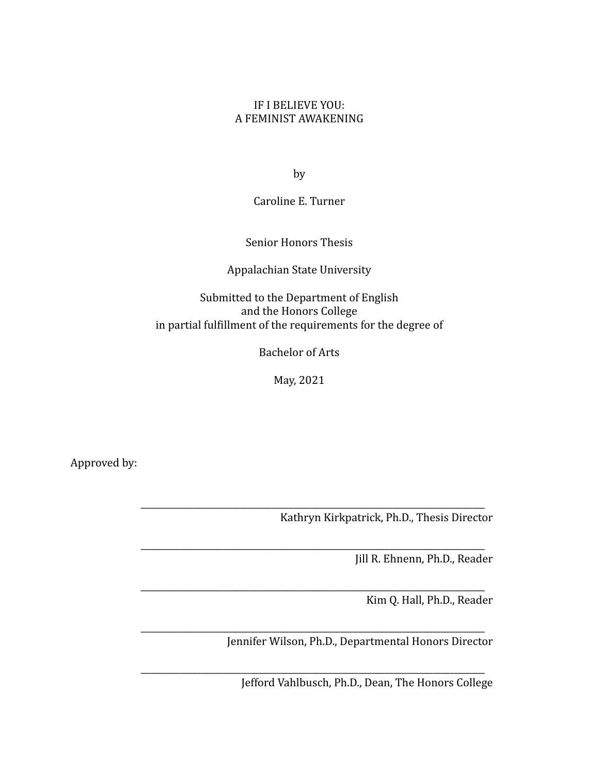# IF I BELIEVE YOU: A FEMINIST AWAKENING

by

Caroline E. Turner

Senior Honors Thesis

# Appalachian State University

Submitted to the Department of English and the Honors College in partial fulfillment of the requirements for the degree of

Bachelor of Arts

May, 2021

\_\_\_\_\_\_\_\_\_\_\_\_\_\_\_\_\_\_\_\_\_\_\_\_\_\_\_\_\_\_\_\_\_\_\_\_\_\_\_\_\_\_\_\_\_\_\_\_\_\_\_\_\_\_\_\_\_\_\_\_\_\_\_\_\_\_\_\_\_\_\_\_\_\_\_\_\_\_\_

\_\_\_\_\_\_\_\_\_\_\_\_\_\_\_\_\_\_\_\_\_\_\_\_\_\_\_\_\_\_\_\_\_\_\_\_\_\_\_\_\_\_\_\_\_\_\_\_\_\_\_\_\_\_\_\_\_\_\_\_\_\_\_\_\_\_\_\_\_\_\_\_\_\_\_\_\_\_\_

\_\_\_\_\_\_\_\_\_\_\_\_\_\_\_\_\_\_\_\_\_\_\_\_\_\_\_\_\_\_\_\_\_\_\_\_\_\_\_\_\_\_\_\_\_\_\_\_\_\_\_\_\_\_\_\_\_\_\_\_\_\_\_\_\_\_\_\_\_\_\_\_\_\_\_\_\_\_\_

Approved by:

\_\_\_\_\_\_\_\_\_\_\_\_\_\_\_\_\_\_\_\_\_\_\_\_\_\_\_\_\_\_\_\_\_\_\_\_\_\_\_\_\_\_\_\_\_\_\_\_\_\_\_\_\_\_\_\_\_\_\_\_\_\_\_\_\_\_\_\_\_\_\_\_\_\_\_\_\_\_\_ Kathryn Kirkpatrick, Ph.D., Thesis Director

Jill R. Ehnenn, Ph.D., Reader

Kim Q. Hall, Ph.D., Reader

\_\_\_\_\_\_\_\_\_\_\_\_\_\_\_\_\_\_\_\_\_\_\_\_\_\_\_\_\_\_\_\_\_\_\_\_\_\_\_\_\_\_\_\_\_\_\_\_\_\_\_\_\_\_\_\_\_\_\_\_\_\_\_\_\_\_\_\_\_\_\_\_\_\_\_\_\_\_\_ Jennifer Wilson, Ph.D., Departmental Honors Director

Jefford Vahlbusch, Ph.D., Dean, The Honors College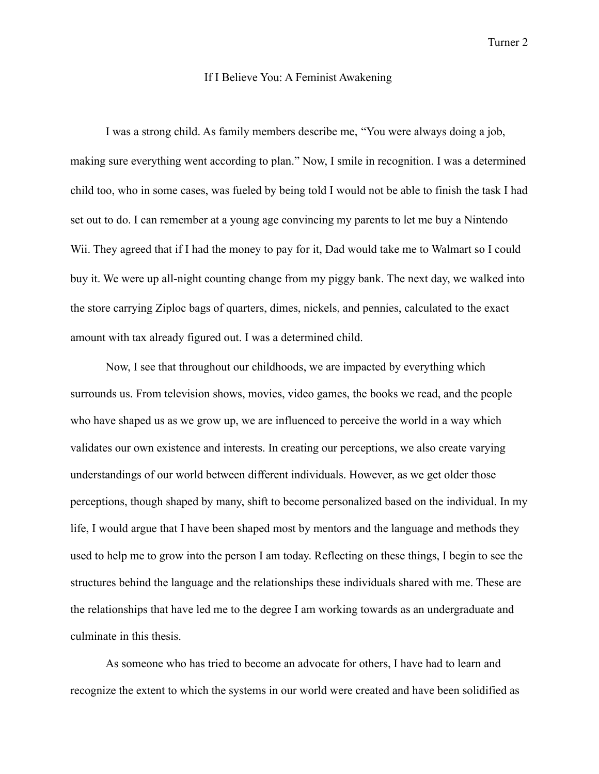#### If I Believe You: A Feminist Awakening

I was a strong child. As family members describe me, "You were always doing a job, making sure everything went according to plan." Now, I smile in recognition. I was a determined child too, who in some cases, was fueled by being told I would not be able to finish the task I had set out to do. I can remember at a young age convincing my parents to let me buy a Nintendo Wii. They agreed that if I had the money to pay for it, Dad would take me to Walmart so I could buy it. We were up all-night counting change from my piggy bank. The next day, we walked into the store carrying Ziploc bags of quarters, dimes, nickels, and pennies, calculated to the exact amount with tax already figured out. I was a determined child.

Now, I see that throughout our childhoods, we are impacted by everything which surrounds us. From television shows, movies, video games, the books we read, and the people who have shaped us as we grow up, we are influenced to perceive the world in a way which validates our own existence and interests. In creating our perceptions, we also create varying understandings of our world between different individuals. However, as we get older those perceptions, though shaped by many, shift to become personalized based on the individual. In my life, I would argue that I have been shaped most by mentors and the language and methods they used to help me to grow into the person I am today. Reflecting on these things, I begin to see the structures behind the language and the relationships these individuals shared with me. These are the relationships that have led me to the degree I am working towards as an undergraduate and culminate in this thesis.

As someone who has tried to become an advocate for others, I have had to learn and recognize the extent to which the systems in our world were created and have been solidified as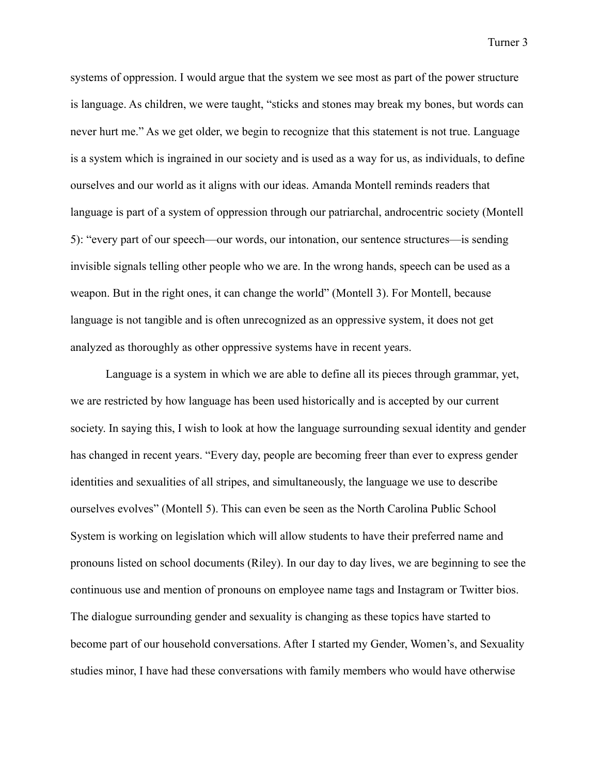systems of oppression. I would argue that the system we see most as part of the power structure is language. As children, we were taught, "sticks and stones may break my bones, but words can never hurt me." As we get older, we begin to recognize that this statement is not true. Language is a system which is ingrained in our society and is used as a way for us, as individuals, to define ourselves and our world as it aligns with our ideas. Amanda Montell reminds readers that language is part of a system of oppression through our patriarchal, androcentric society (Montell 5): "every part of our speech—our words, our intonation, our sentence structures—is sending invisible signals telling other people who we are. In the wrong hands, speech can be used as a weapon. But in the right ones, it can change the world" (Montell 3). For Montell, because language is not tangible and is often unrecognized as an oppressive system, it does not get analyzed as thoroughly as other oppressive systems have in recent years.

Language is a system in which we are able to define all its pieces through grammar, yet, we are restricted by how language has been used historically and is accepted by our current society. In saying this, I wish to look at how the language surrounding sexual identity and gender has changed in recent years. "Every day, people are becoming freer than ever to express gender identities and sexualities of all stripes, and simultaneously, the language we use to describe ourselves evolves" (Montell 5). This can even be seen as the North Carolina Public School System is working on legislation which will allow students to have their preferred name and pronouns listed on school documents (Riley). In our day to day lives, we are beginning to see the continuous use and mention of pronouns on employee name tags and Instagram or Twitter bios. The dialogue surrounding gender and sexuality is changing as these topics have started to become part of our household conversations. After I started my Gender, Women's, and Sexuality studies minor, I have had these conversations with family members who would have otherwise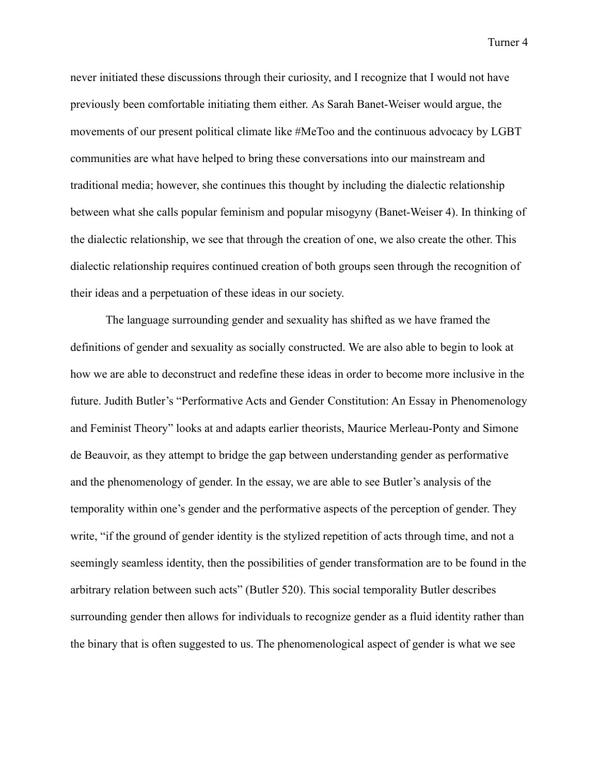never initiated these discussions through their curiosity, and I recognize that I would not have previously been comfortable initiating them either. As Sarah Banet-Weiser would argue, the movements of our present political climate like #MeToo and the continuous advocacy by LGBT communities are what have helped to bring these conversations into our mainstream and traditional media; however, she continues this thought by including the dialectic relationship between what she calls popular feminism and popular misogyny (Banet-Weiser 4). In thinking of the dialectic relationship, we see that through the creation of one, we also create the other. This dialectic relationship requires continued creation of both groups seen through the recognition of their ideas and a perpetuation of these ideas in our society.

The language surrounding gender and sexuality has shifted as we have framed the definitions of gender and sexuality as socially constructed. We are also able to begin to look at how we are able to deconstruct and redefine these ideas in order to become more inclusive in the future. Judith Butler's "Performative Acts and Gender Constitution: An Essay in Phenomenology and Feminist Theory" looks at and adapts earlier theorists, Maurice Merleau-Ponty and Simone de Beauvoir, as they attempt to bridge the gap between understanding gender as performative and the phenomenology of gender. In the essay, we are able to see Butler's analysis of the temporality within one's gender and the performative aspects of the perception of gender. They write, "if the ground of gender identity is the stylized repetition of acts through time, and not a seemingly seamless identity, then the possibilities of gender transformation are to be found in the arbitrary relation between such acts" (Butler 520). This social temporality Butler describes surrounding gender then allows for individuals to recognize gender as a fluid identity rather than the binary that is often suggested to us. The phenomenological aspect of gender is what we see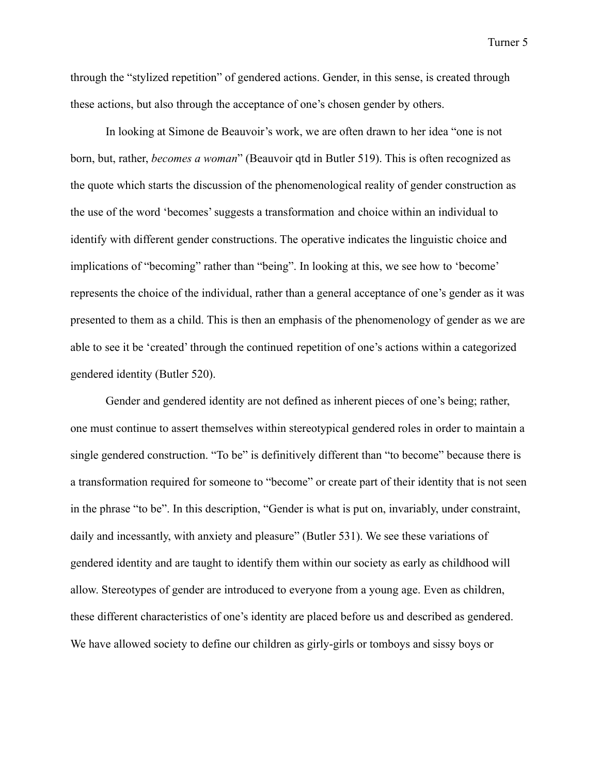through the "stylized repetition" of gendered actions. Gender, in this sense, is created through these actions, but also through the acceptance of one's chosen gender by others.

In looking at Simone de Beauvoir's work, we are often drawn to her idea "one is not born, but, rather, *becomes a woman*" (Beauvoir qtd in Butler 519). This is often recognized as the quote which starts the discussion of the phenomenological reality of gender construction as the use of the word 'becomes' suggests a transformation and choice within an individual to identify with different gender constructions. The operative indicates the linguistic choice and implications of "becoming" rather than "being". In looking at this, we see how to 'become' represents the choice of the individual, rather than a general acceptance of one's gender as it was presented to them as a child. This is then an emphasis of the phenomenology of gender as we are able to see it be 'created' through the continued repetition of one's actions within a categorized gendered identity (Butler 520).

Gender and gendered identity are not defined as inherent pieces of one's being; rather, one must continue to assert themselves within stereotypical gendered roles in order to maintain a single gendered construction. "To be" is definitively different than "to become" because there is a transformation required for someone to "become" or create part of their identity that is not seen in the phrase "to be". In this description, "Gender is what is put on, invariably, under constraint, daily and incessantly, with anxiety and pleasure" (Butler 531). We see these variations of gendered identity and are taught to identify them within our society as early as childhood will allow. Stereotypes of gender are introduced to everyone from a young age. Even as children, these different characteristics of one's identity are placed before us and described as gendered. We have allowed society to define our children as girly-girls or tomboys and sissy boys or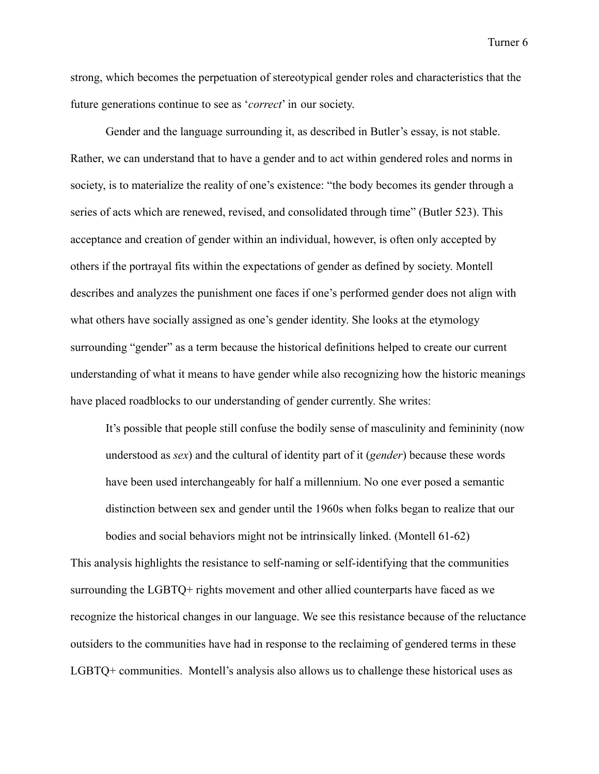strong, which becomes the perpetuation of stereotypical gender roles and characteristics that the future generations continue to see as '*correct*' in our society.

Gender and the language surrounding it, as described in Butler's essay, is not stable. Rather, we can understand that to have a gender and to act within gendered roles and norms in society, is to materialize the reality of one's existence: "the body becomes its gender through a series of acts which are renewed, revised, and consolidated through time" (Butler 523). This acceptance and creation of gender within an individual, however, is often only accepted by others if the portrayal fits within the expectations of gender as defined by society. Montell describes and analyzes the punishment one faces if one's performed gender does not align with what others have socially assigned as one's gender identity. She looks at the etymology surrounding "gender" as a term because the historical definitions helped to create our current understanding of what it means to have gender while also recognizing how the historic meanings have placed roadblocks to our understanding of gender currently. She writes:

It's possible that people still confuse the bodily sense of masculinity and femininity (now understood as *sex*) and the cultural of identity part of it (*gender*) because these words have been used interchangeably for half a millennium. No one ever posed a semantic distinction between sex and gender until the 1960s when folks began to realize that our bodies and social behaviors might not be intrinsically linked. (Montell 61-62)

This analysis highlights the resistance to self-naming or self-identifying that the communities surrounding the LGBTQ+ rights movement and other allied counterparts have faced as we recognize the historical changes in our language. We see this resistance because of the reluctance outsiders to the communities have had in response to the reclaiming of gendered terms in these LGBTQ+ communities. Montell's analysis also allows us to challenge these historical uses as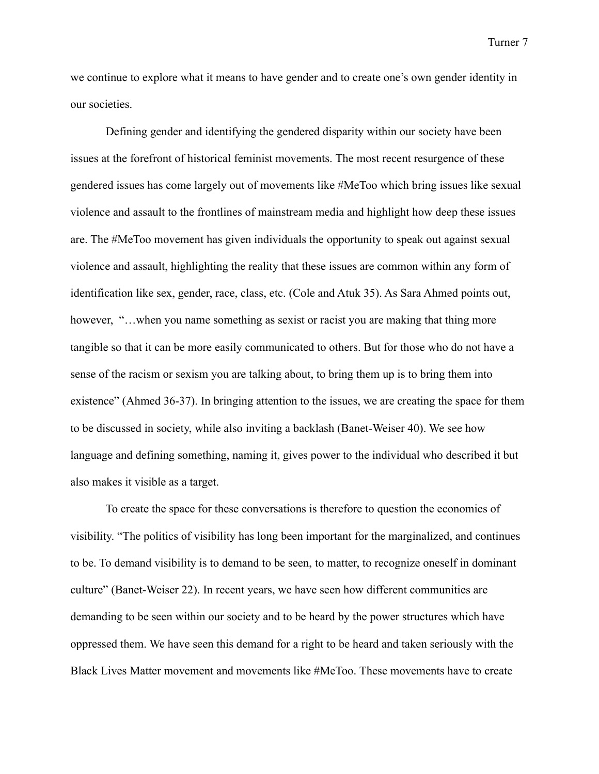we continue to explore what it means to have gender and to create one's own gender identity in our societies.

Defining gender and identifying the gendered disparity within our society have been issues at the forefront of historical feminist movements. The most recent resurgence of these gendered issues has come largely out of movements like #MeToo which bring issues like sexual violence and assault to the frontlines of mainstream media and highlight how deep these issues are. The #MeToo movement has given individuals the opportunity to speak out against sexual violence and assault, highlighting the reality that these issues are common within any form of identification like sex, gender, race, class, etc. (Cole and Atuk 35). As Sara Ahmed points out, however, "...when you name something as sexist or racist you are making that thing more tangible so that it can be more easily communicated to others. But for those who do not have a sense of the racism or sexism you are talking about, to bring them up is to bring them into existence" (Ahmed 36-37). In bringing attention to the issues, we are creating the space for them to be discussed in society, while also inviting a backlash (Banet-Weiser 40). We see how language and defining something, naming it, gives power to the individual who described it but also makes it visible as a target.

To create the space for these conversations is therefore to question the economies of visibility. "The politics of visibility has long been important for the marginalized, and continues to be. To demand visibility is to demand to be seen, to matter, to recognize oneself in dominant culture" (Banet-Weiser 22). In recent years, we have seen how different communities are demanding to be seen within our society and to be heard by the power structures which have oppressed them. We have seen this demand for a right to be heard and taken seriously with the Black Lives Matter movement and movements like #MeToo. These movements have to create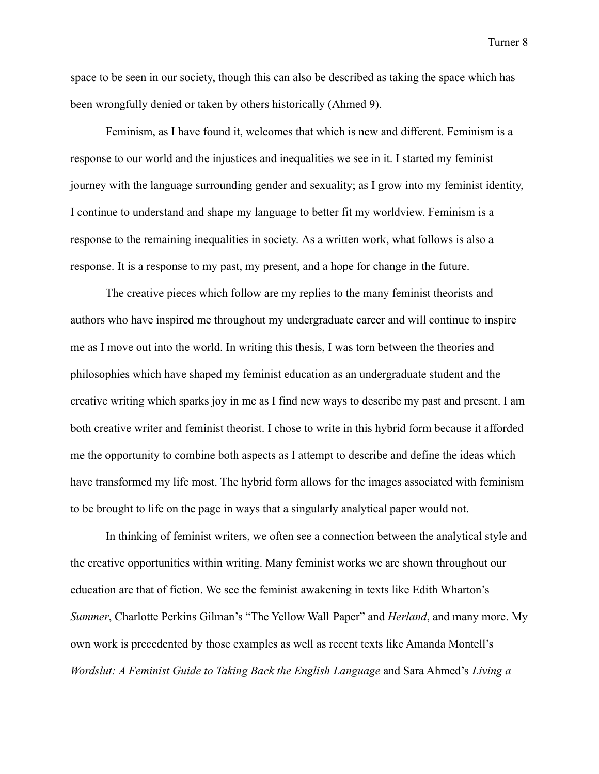space to be seen in our society, though this can also be described as taking the space which has been wrongfully denied or taken by others historically (Ahmed 9).

Feminism, as I have found it, welcomes that which is new and different. Feminism is a response to our world and the injustices and inequalities we see in it. I started my feminist journey with the language surrounding gender and sexuality; as I grow into my feminist identity, I continue to understand and shape my language to better fit my worldview. Feminism is a response to the remaining inequalities in society. As a written work, what follows is also a response. It is a response to my past, my present, and a hope for change in the future.

The creative pieces which follow are my replies to the many feminist theorists and authors who have inspired me throughout my undergraduate career and will continue to inspire me as I move out into the world. In writing this thesis, I was torn between the theories and philosophies which have shaped my feminist education as an undergraduate student and the creative writing which sparks joy in me as I find new ways to describe my past and present. I am both creative writer and feminist theorist. I chose to write in this hybrid form because it afforded me the opportunity to combine both aspects as I attempt to describe and define the ideas which have transformed my life most. The hybrid form allows for the images associated with feminism to be brought to life on the page in ways that a singularly analytical paper would not.

In thinking of feminist writers, we often see a connection between the analytical style and the creative opportunities within writing. Many feminist works we are shown throughout our education are that of fiction. We see the feminist awakening in texts like Edith Wharton's *Summer*, Charlotte Perkins Gilman's "The Yellow Wall Paper" and *Herland*, and many more. My own work is precedented by those examples as well as recent texts like Amanda Montell's *Wordslut: A Feminist Guide to Taking Back the English Language* and Sara Ahmed's *Living a*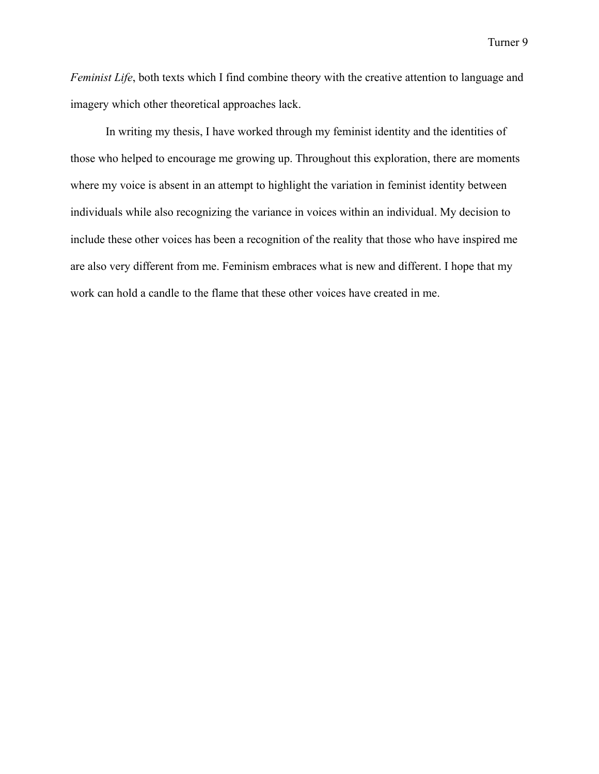*Feminist Life*, both texts which I find combine theory with the creative attention to language and imagery which other theoretical approaches lack.

In writing my thesis, I have worked through my feminist identity and the identities of those who helped to encourage me growing up. Throughout this exploration, there are moments where my voice is absent in an attempt to highlight the variation in feminist identity between individuals while also recognizing the variance in voices within an individual. My decision to include these other voices has been a recognition of the reality that those who have inspired me are also very different from me. Feminism embraces what is new and different. I hope that my work can hold a candle to the flame that these other voices have created in me.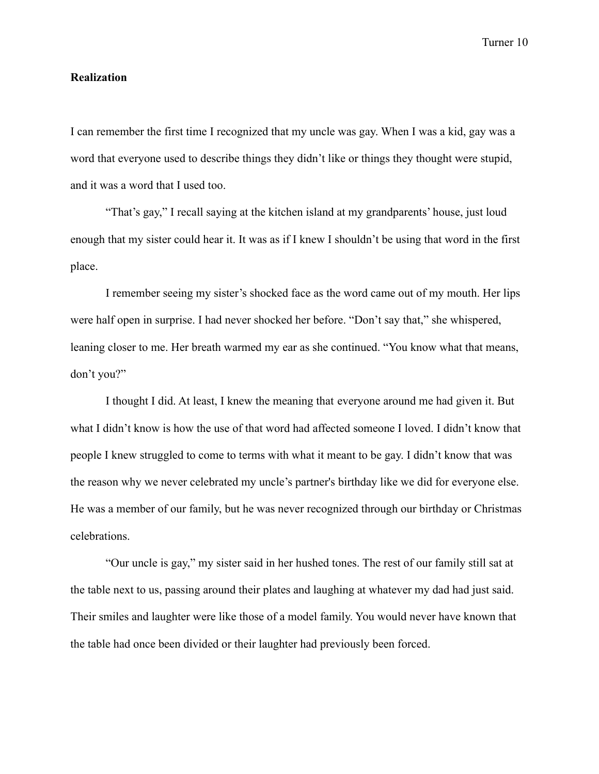#### **Realization**

I can remember the first time I recognized that my uncle was gay. When I was a kid, gay was a word that everyone used to describe things they didn't like or things they thought were stupid, and it was a word that I used too.

"That's gay," I recall saying at the kitchen island at my grandparents' house, just loud enough that my sister could hear it. It was as if I knew I shouldn't be using that word in the first place.

I remember seeing my sister's shocked face as the word came out of my mouth. Her lips were half open in surprise. I had never shocked her before. "Don't say that," she whispered, leaning closer to me. Her breath warmed my ear as she continued. "You know what that means, don't you?"

I thought I did. At least, I knew the meaning that everyone around me had given it. But what I didn't know is how the use of that word had affected someone I loved. I didn't know that people I knew struggled to come to terms with what it meant to be gay. I didn't know that was the reason why we never celebrated my uncle's partner's birthday like we did for everyone else. He was a member of our family, but he was never recognized through our birthday or Christmas celebrations.

"Our uncle is gay," my sister said in her hushed tones. The rest of our family still sat at the table next to us, passing around their plates and laughing at whatever my dad had just said. Their smiles and laughter were like those of a model family. You would never have known that the table had once been divided or their laughter had previously been forced.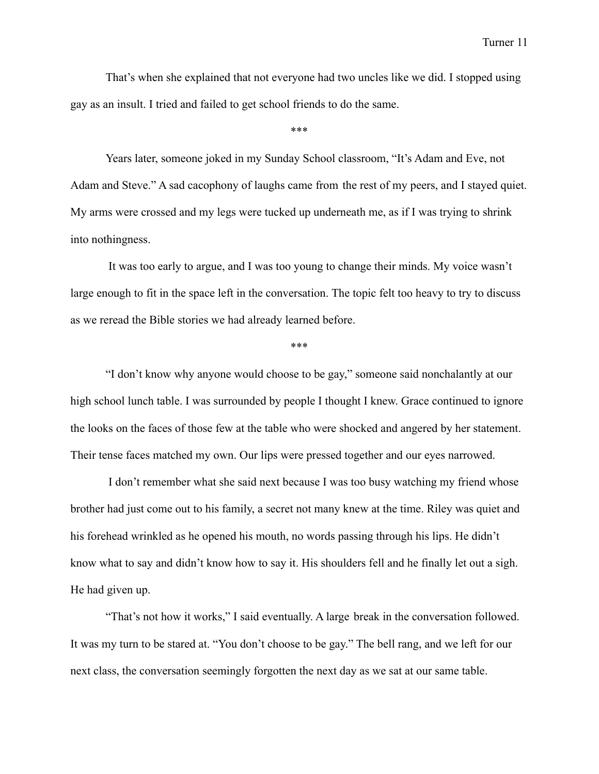That's when she explained that not everyone had two uncles like we did. I stopped using gay as an insult. I tried and failed to get school friends to do the same.

\*\*\*

Years later, someone joked in my Sunday School classroom, "It's Adam and Eve, not Adam and Steve." A sad cacophony of laughs came from the rest of my peers, and I stayed quiet. My arms were crossed and my legs were tucked up underneath me, as if I was trying to shrink into nothingness.

It was too early to argue, and I was too young to change their minds. My voice wasn't large enough to fit in the space left in the conversation. The topic felt too heavy to try to discuss as we reread the Bible stories we had already learned before.

\*\*\*

"I don't know why anyone would choose to be gay," someone said nonchalantly at our high school lunch table. I was surrounded by people I thought I knew. Grace continued to ignore the looks on the faces of those few at the table who were shocked and angered by her statement. Their tense faces matched my own. Our lips were pressed together and our eyes narrowed.

I don't remember what she said next because I was too busy watching my friend whose brother had just come out to his family, a secret not many knew at the time. Riley was quiet and his forehead wrinkled as he opened his mouth, no words passing through his lips. He didn't know what to say and didn't know how to say it. His shoulders fell and he finally let out a sigh. He had given up.

"That's not how it works," I said eventually. A large break in the conversation followed. It was my turn to be stared at. "You don't choose to be gay." The bell rang, and we left for our next class, the conversation seemingly forgotten the next day as we sat at our same table.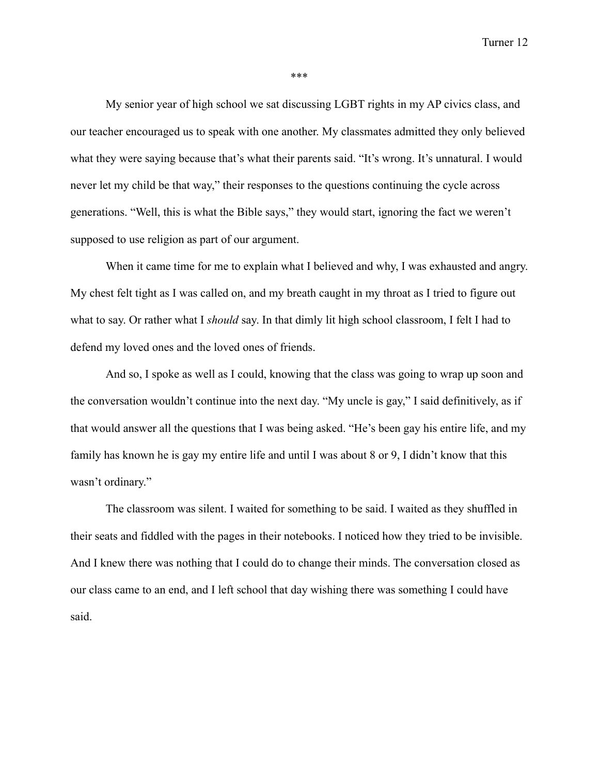\*\*\*

My senior year of high school we sat discussing LGBT rights in my AP civics class, and our teacher encouraged us to speak with one another. My classmates admitted they only believed what they were saying because that's what their parents said. "It's wrong. It's unnatural. I would never let my child be that way," their responses to the questions continuing the cycle across generations. "Well, this is what the Bible says," they would start, ignoring the fact we weren't supposed to use religion as part of our argument.

When it came time for me to explain what I believed and why, I was exhausted and angry. My chest felt tight as I was called on, and my breath caught in my throat as I tried to figure out what to say. Or rather what I *should* say. In that dimly lit high school classroom, I felt I had to defend my loved ones and the loved ones of friends.

And so, I spoke as well as I could, knowing that the class was going to wrap up soon and the conversation wouldn't continue into the next day. "My uncle is gay," I said definitively, as if that would answer all the questions that I was being asked. "He's been gay his entire life, and my family has known he is gay my entire life and until I was about 8 or 9, I didn't know that this wasn't ordinary."

The classroom was silent. I waited for something to be said. I waited as they shuffled in their seats and fiddled with the pages in their notebooks. I noticed how they tried to be invisible. And I knew there was nothing that I could do to change their minds. The conversation closed as our class came to an end, and I left school that day wishing there was something I could have said.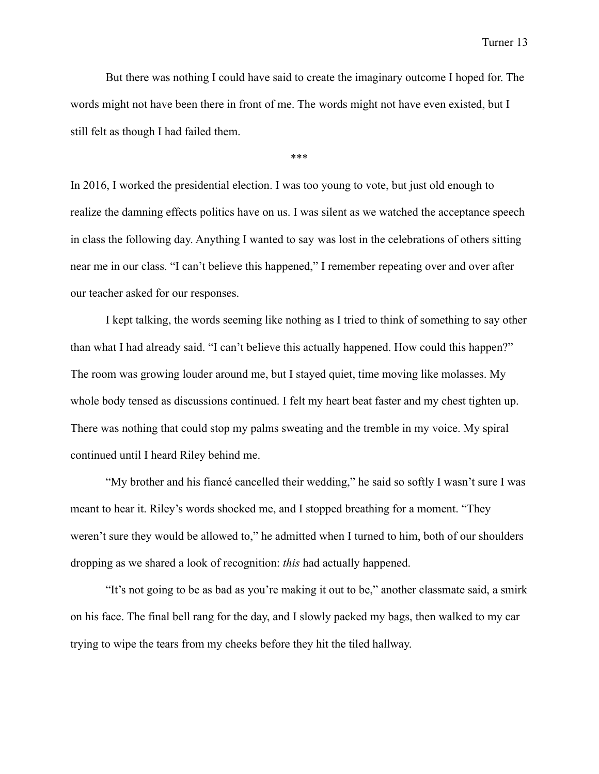But there was nothing I could have said to create the imaginary outcome I hoped for. The words might not have been there in front of me. The words might not have even existed, but I still felt as though I had failed them.

\*\*\*

In 2016, I worked the presidential election. I was too young to vote, but just old enough to realize the damning effects politics have on us. I was silent as we watched the acceptance speech in class the following day. Anything I wanted to say was lost in the celebrations of others sitting near me in our class. "I can't believe this happened," I remember repeating over and over after our teacher asked for our responses.

I kept talking, the words seeming like nothing as I tried to think of something to say other than what I had already said. "I can't believe this actually happened. How could this happen?" The room was growing louder around me, but I stayed quiet, time moving like molasses. My whole body tensed as discussions continued. I felt my heart beat faster and my chest tighten up. There was nothing that could stop my palms sweating and the tremble in my voice. My spiral continued until I heard Riley behind me.

"My brother and his fiancé cancelled their wedding," he said so softly I wasn't sure I was meant to hear it. Riley's words shocked me, and I stopped breathing for a moment. "They weren't sure they would be allowed to," he admitted when I turned to him, both of our shoulders dropping as we shared a look of recognition: *this* had actually happened.

"It's not going to be as bad as you're making it out to be," another classmate said, a smirk on his face. The final bell rang for the day, and I slowly packed my bags, then walked to my car trying to wipe the tears from my cheeks before they hit the tiled hallway.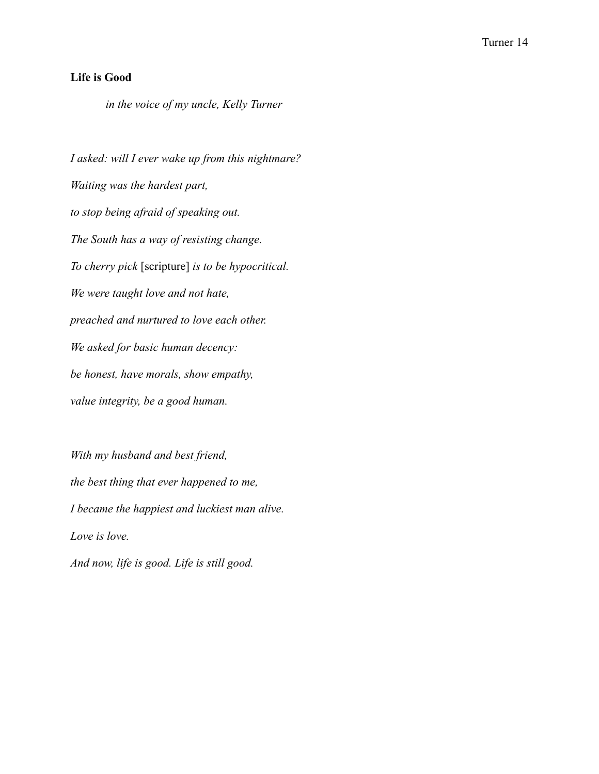# **Life is Good**

*in the voice of my uncle, Kelly Turner*

*I asked: will I ever wake up from this nightmare? Waiting was the hardest part, to stop being afraid of speaking out. The South has a way of resisting change. To cherry pick* [scripture] *is to be hypocritical. We were taught love and not hate, preached and nurtured to love each other. We asked for basic human decency: be honest, have morals, show empathy, value integrity, be a good human.*

*With my husband and best friend, the best thing that ever happened to me, I became the happiest and luckiest man alive. Love is love.*

*And now, life is good. Life is still good.*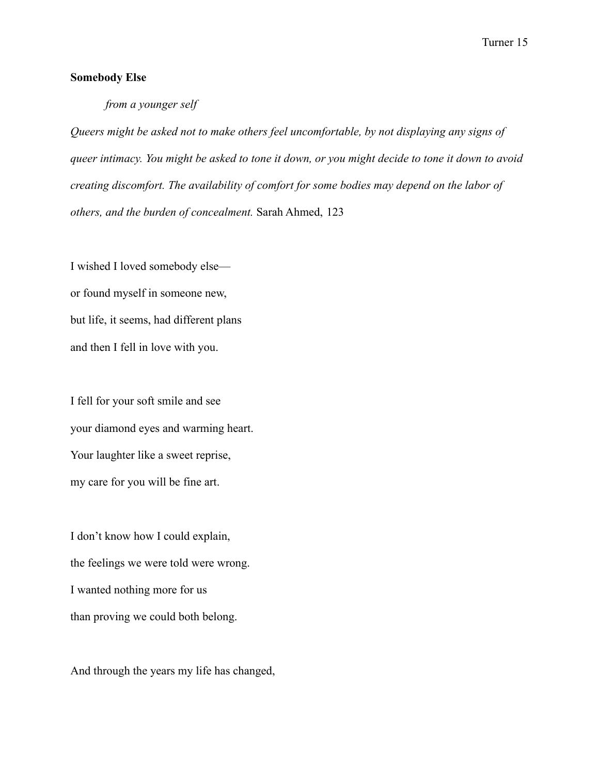## **Somebody Else**

# *from a younger self*

*Queers might be asked not to make others feel uncomfortable, by not displaying any signs of queer intimacy. You might be asked to tone it down, or you might decide to tone it down to avoid creating discomfort. The availability of comfort for some bodies may depend on the labor of others, and the burden of concealment.* Sarah Ahmed, 123

I wished I loved somebody else or found myself in someone new, but life, it seems, had different plans and then I fell in love with you.

I fell for your soft smile and see your diamond eyes and warming heart. Your laughter like a sweet reprise, my care for you will be fine art.

I don't know how I could explain, the feelings we were told were wrong. I wanted nothing more for us than proving we could both belong.

And through the years my life has changed,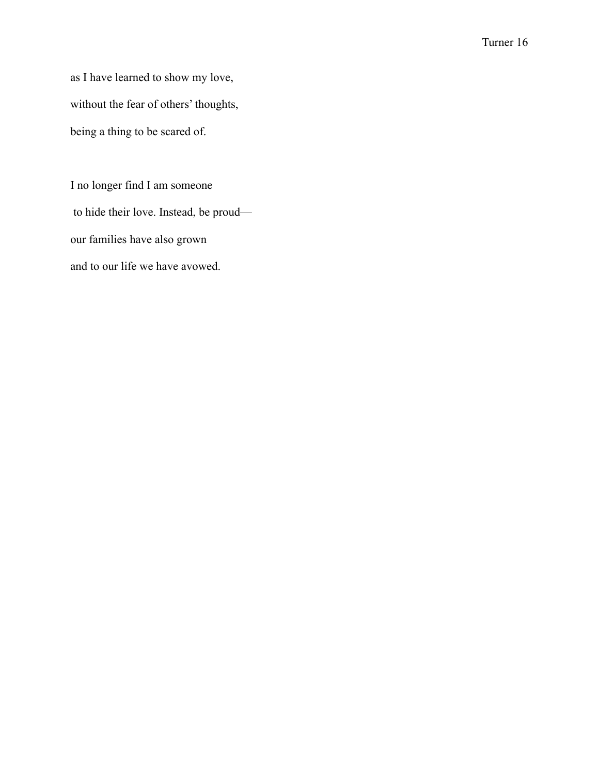as I have learned to show my love, without the fear of others' thoughts, being a thing to be scared of.

I no longer find I am someone to hide their love. Instead, be proud our families have also grown and to our life we have avowed.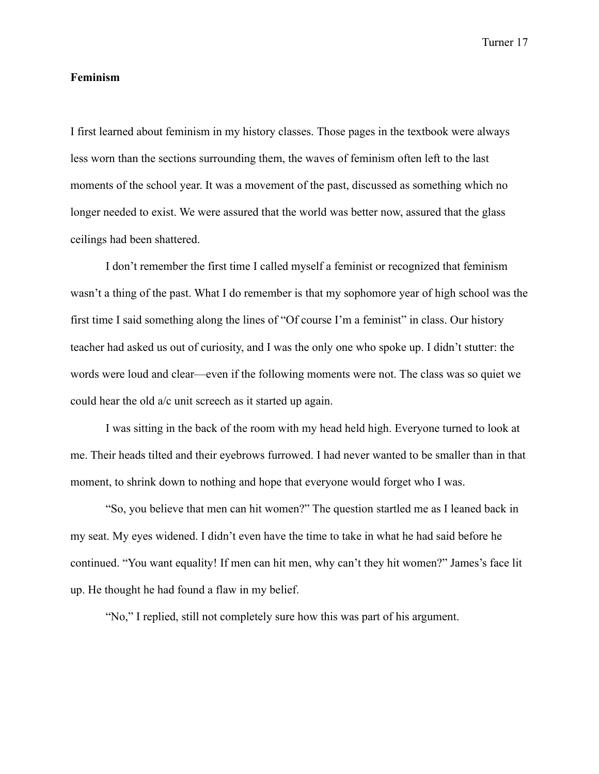#### **Feminism**

I first learned about feminism in my history classes. Those pages in the textbook were always less worn than the sections surrounding them, the waves of feminism often left to the last moments of the school year. It was a movement of the past, discussed as something which no longer needed to exist. We were assured that the world was better now, assured that the glass ceilings had been shattered.

I don't remember the first time I called myself a feminist or recognized that feminism wasn't a thing of the past. What I do remember is that my sophomore year of high school was the first time I said something along the lines of "Of course I'm a feminist" in class. Our history teacher had asked us out of curiosity, and I was the only one who spoke up. I didn't stutter: the words were loud and clear—even if the following moments were not. The class was so quiet we could hear the old a/c unit screech as it started up again.

I was sitting in the back of the room with my head held high. Everyone turned to look at me. Their heads tilted and their eyebrows furrowed. I had never wanted to be smaller than in that moment, to shrink down to nothing and hope that everyone would forget who I was.

"So, you believe that men can hit women?" The question startled me as I leaned back in my seat. My eyes widened. I didn't even have the time to take in what he had said before he continued. "You want equality! If men can hit men, why can't they hit women?" James's face lit up. He thought he had found a flaw in my belief.

"No," I replied, still not completely sure how this was part of his argument.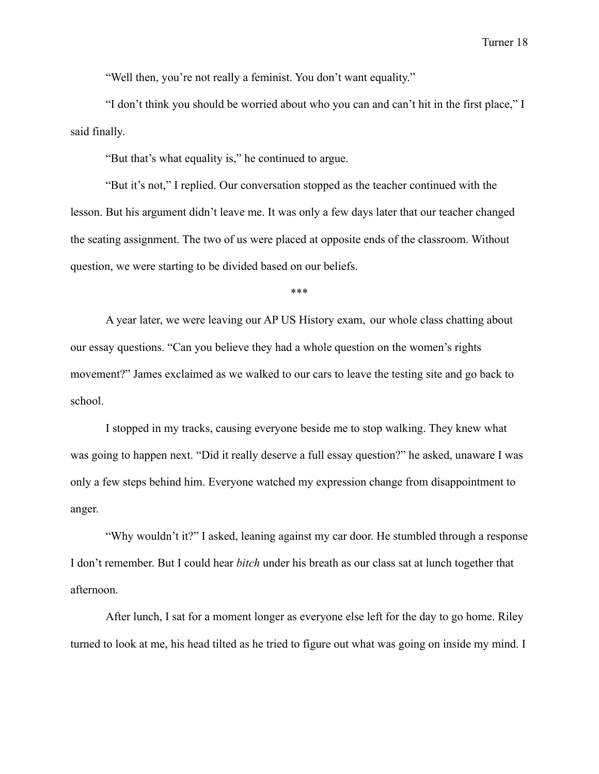"Well then, you're not really a feminist. You don't want equality."

"I don't think you should be worried about who you can and can't hit in the first place," I said finally.

"But that's what equality is," he continued to argue.

"But it's not," I replied. Our conversation stopped as the teacher continued with the lesson. But his argument didn't leave me. It was only a few days later that our teacher changed the seating assignment. The two of us were placed at opposite ends of the classroom. Without question, we were starting to be divided based on our beliefs.

\*\*\*

A year later, we were leaving our AP US History exam, our whole class chatting about our essay questions. "Can you believe they had a whole question on the women's rights movement?" James exclaimed as we walked to our cars to leave the testing site and go back to school.

I stopped in my tracks, causing everyone beside me to stop walking. They knew what was going to happen next. "Did it really deserve a full essay question?" he asked, unaware I was only a few steps behind him. Everyone watched my expression change from disappointment to anger.

"Why wouldn't it?" I asked, leaning against my car door. He stumbled through a response I don't remember. But I could hear *bitch* under his breath as our class sat at lunch together that afternoon.

After lunch, I sat for a moment longer as everyone else left for the day to go home. Riley turned to look at me, his head tilted as he tried to figure out what was going on inside my mind. I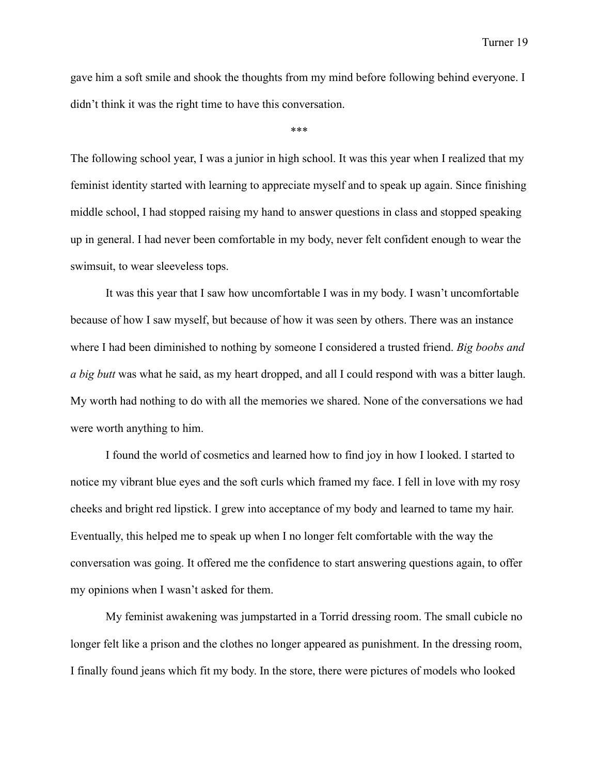gave him a soft smile and shook the thoughts from my mind before following behind everyone. I didn't think it was the right time to have this conversation.

\*\*\*

The following school year, I was a junior in high school. It was this year when I realized that my feminist identity started with learning to appreciate myself and to speak up again. Since finishing middle school, I had stopped raising my hand to answer questions in class and stopped speaking up in general. I had never been comfortable in my body, never felt confident enough to wear the swimsuit, to wear sleeveless tops.

It was this year that I saw how uncomfortable I was in my body. I wasn't uncomfortable because of how I saw myself, but because of how it was seen by others. There was an instance where I had been diminished to nothing by someone I considered a trusted friend. *Big boobs and a big butt* was what he said, as my heart dropped, and all I could respond with was a bitter laugh. My worth had nothing to do with all the memories we shared. None of the conversations we had were worth anything to him.

I found the world of cosmetics and learned how to find joy in how I looked. I started to notice my vibrant blue eyes and the soft curls which framed my face. I fell in love with my rosy cheeks and bright red lipstick. I grew into acceptance of my body and learned to tame my hair. Eventually, this helped me to speak up when I no longer felt comfortable with the way the conversation was going. It offered me the confidence to start answering questions again, to offer my opinions when I wasn't asked for them.

My feminist awakening was jumpstarted in a Torrid dressing room. The small cubicle no longer felt like a prison and the clothes no longer appeared as punishment. In the dressing room, I finally found jeans which fit my body. In the store, there were pictures of models who looked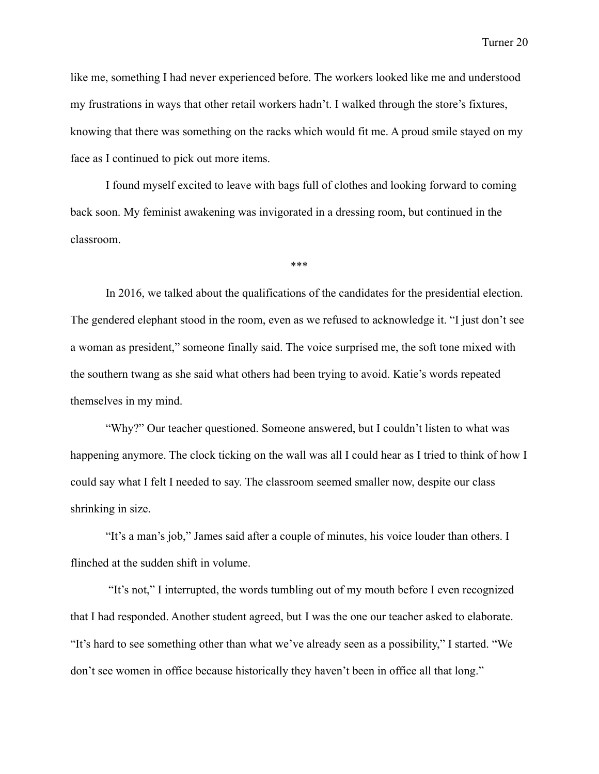like me, something I had never experienced before. The workers looked like me and understood my frustrations in ways that other retail workers hadn't. I walked through the store's fixtures, knowing that there was something on the racks which would fit me. A proud smile stayed on my face as I continued to pick out more items.

I found myself excited to leave with bags full of clothes and looking forward to coming back soon. My feminist awakening was invigorated in a dressing room, but continued in the classroom.

\*\*\*

In 2016, we talked about the qualifications of the candidates for the presidential election. The gendered elephant stood in the room, even as we refused to acknowledge it. "I just don't see a woman as president," someone finally said. The voice surprised me, the soft tone mixed with the southern twang as she said what others had been trying to avoid. Katie's words repeated themselves in my mind.

"Why?" Our teacher questioned. Someone answered, but I couldn't listen to what was happening anymore. The clock ticking on the wall was all I could hear as I tried to think of how I could say what I felt I needed to say. The classroom seemed smaller now, despite our class shrinking in size.

"It's a man's job," James said after a couple of minutes, his voice louder than others. I flinched at the sudden shift in volume.

"It's not," I interrupted, the words tumbling out of my mouth before I even recognized that I had responded. Another student agreed, but I was the one our teacher asked to elaborate. "It's hard to see something other than what we've already seen as a possibility," I started. "We don't see women in office because historically they haven't been in office all that long."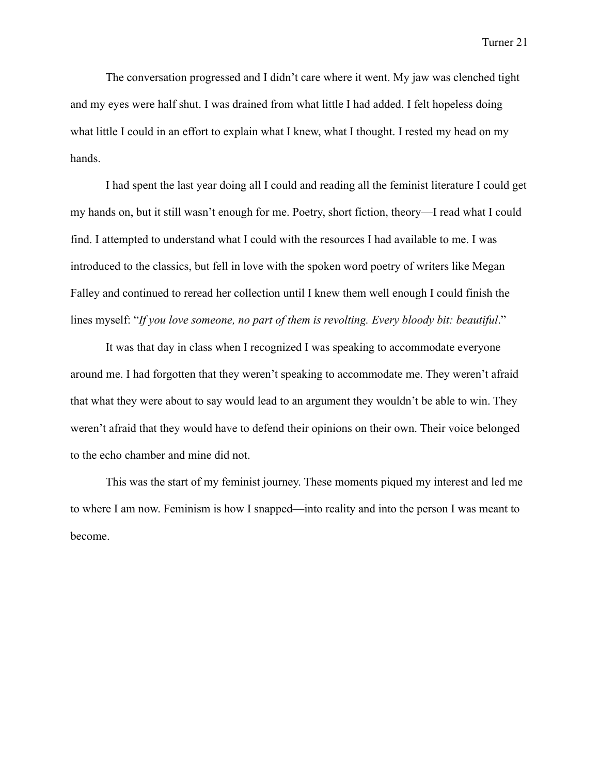The conversation progressed and I didn't care where it went. My jaw was clenched tight and my eyes were half shut. I was drained from what little I had added. I felt hopeless doing what little I could in an effort to explain what I knew, what I thought. I rested my head on my hands.

I had spent the last year doing all I could and reading all the feminist literature I could get my hands on, but it still wasn't enough for me. Poetry, short fiction, theory—I read what I could find. I attempted to understand what I could with the resources I had available to me. I was introduced to the classics, but fell in love with the spoken word poetry of writers like Megan Falley and continued to reread her collection until I knew them well enough I could finish the lines myself: "*If you love someone, no part of them is revolting. Every bloody bit: beautiful.*"

It was that day in class when I recognized I was speaking to accommodate everyone around me. I had forgotten that they weren't speaking to accommodate me. They weren't afraid that what they were about to say would lead to an argument they wouldn't be able to win. They weren't afraid that they would have to defend their opinions on their own. Their voice belonged to the echo chamber and mine did not.

This was the start of my feminist journey. These moments piqued my interest and led me to where I am now. Feminism is how I snapped—into reality and into the person I was meant to become.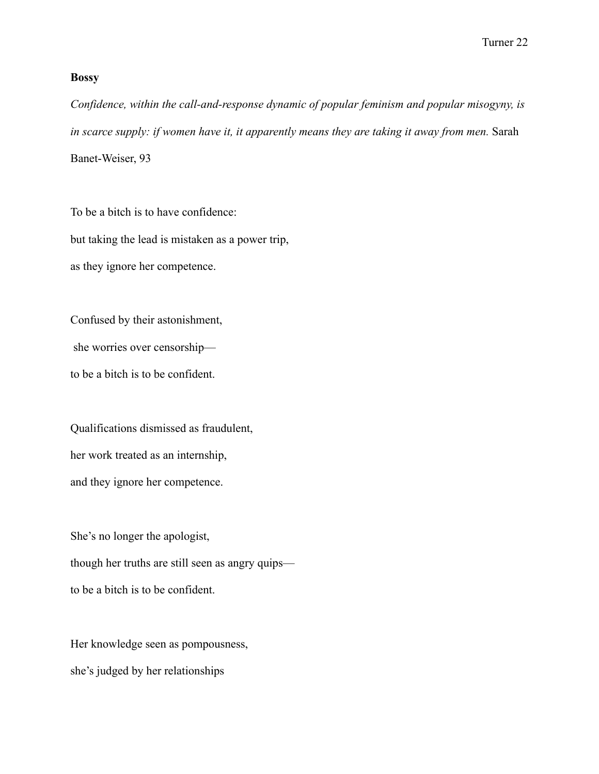#### **Bossy**

*Confidence, within the call-and-response dynamic of popular feminism and popular misogyny, is in scarce supply: if women have it, it apparently means they are taking it away from men.* Sarah Banet-Weiser, 93

To be a bitch is to have confidence: but taking the lead is mistaken as a power trip, as they ignore her competence.

Confused by their astonishment,

she worries over censorship—

to be a bitch is to be confident.

Qualifications dismissed as fraudulent, her work treated as an internship, and they ignore her competence.

She's no longer the apologist, though her truths are still seen as angry quips to be a bitch is to be confident.

Her knowledge seen as pompousness, she's judged by her relationships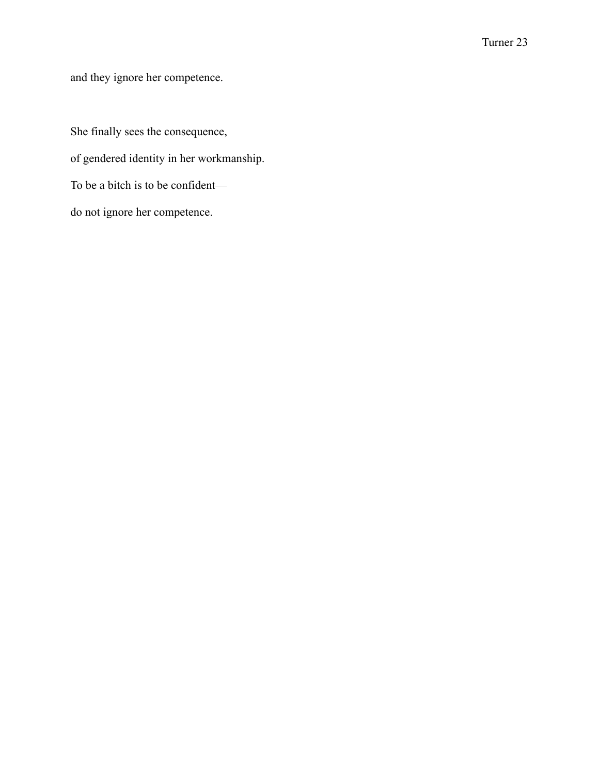and they ignore her competence.

She finally sees the consequence, of gendered identity in her workmanship. To be a bitch is to be confident do not ignore her competence.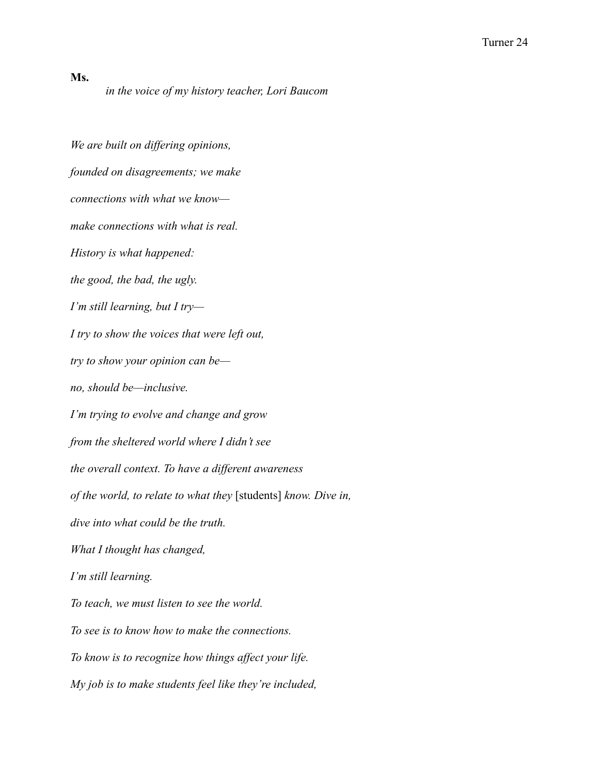**Ms.**

*in the voice of my history teacher, Lori Baucom*

*We are built on differing opinions, founded on disagreements; we make connections with what we know make connections with what is real. History is what happened: the good, the bad, the ugly. I'm still learning, but I try— I try to show the voices that were left out, try to show your opinion can be no, should be—inclusive. I'm trying to evolve and change and grow from the sheltered world where I didn't see the overall context. To have a different awareness of the world, to relate to what they* [students] *know. Dive in, dive into what could be the truth. What I thought has changed, I'm still learning. To teach, we must listen to see the world. To see is to know how to make the connections. To know is to recognize how things affect your life. My job is to make students feel like they're included,*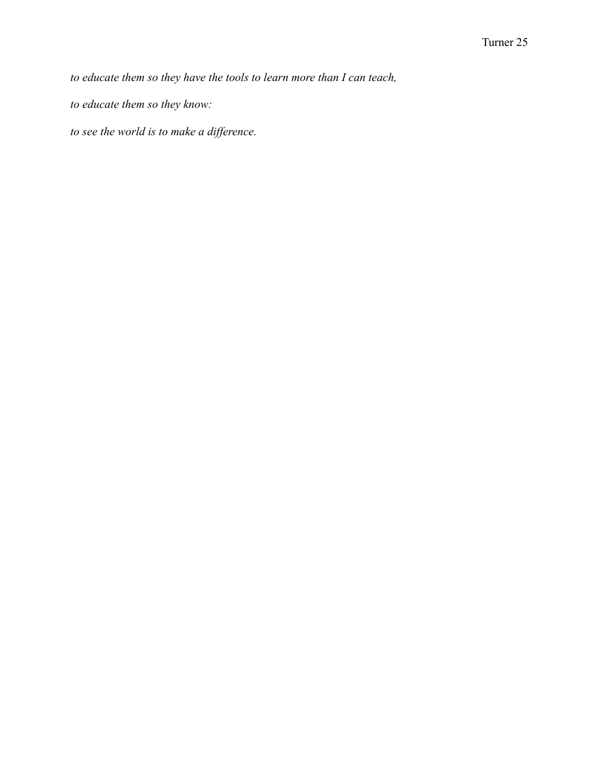*to educate them so they have the tools to learn more than I can teach,*

*to educate them so they know:*

*to see the world is to make a difference.*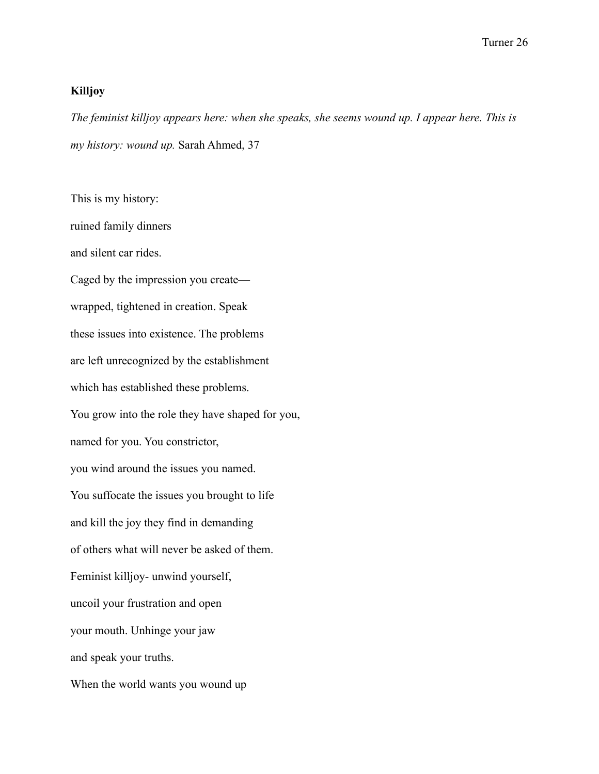#### **Killjoy**

*The feminist killjoy appears here: when she speaks, she seems wound up. I appear here. This is my history: wound up.* Sarah Ahmed, 37

This is my history: ruined family dinners and silent car rides. Caged by the impression you create wrapped, tightened in creation. Speak these issues into existence. The problems are left unrecognized by the establishment which has established these problems. You grow into the role they have shaped for you, named for you. You constrictor, you wind around the issues you named. You suffocate the issues you brought to life and kill the joy they find in demanding of others what will never be asked of them. Feminist killjoy- unwind yourself, uncoil your frustration and open your mouth. Unhinge your jaw and speak your truths. When the world wants you wound up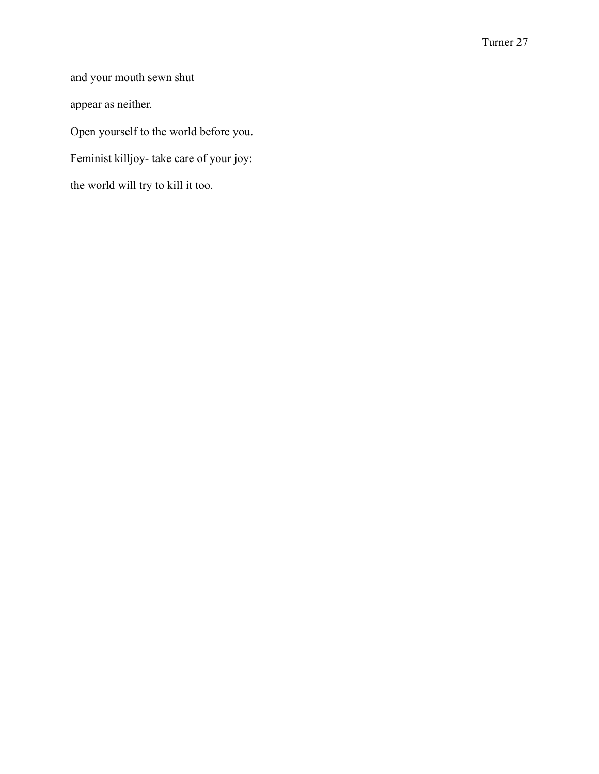and your mouth sewn shut appear as neither. Open yourself to the world before you. Feminist killjoy- take care of your joy: the world will try to kill it too.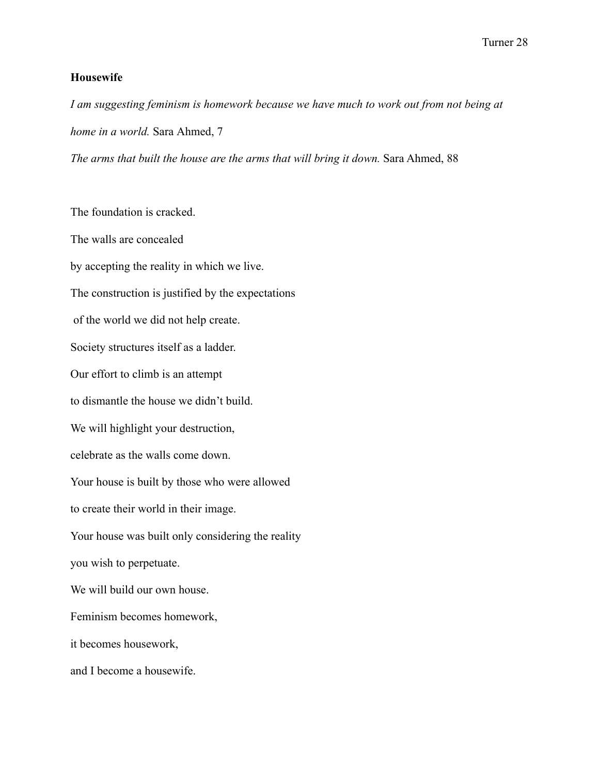# **Housewife**

*I am suggesting feminism is homework because we have much to work out from not being at home in a world.* Sara Ahmed, 7 *The arms that built the house are the arms that will bring it down.* Sara Ahmed, 88

The foundation is cracked. The walls are concealed by accepting the reality in which we live. The construction is justified by the expectations of the world we did not help create. Society structures itself as a ladder. Our effort to climb is an attempt to dismantle the house we didn't build. We will highlight your destruction, celebrate as the walls come down. Your house is built by those who were allowed to create their world in their image. Your house was built only considering the reality you wish to perpetuate. We will build our own house. Feminism becomes homework, it becomes housework, and I become a housewife.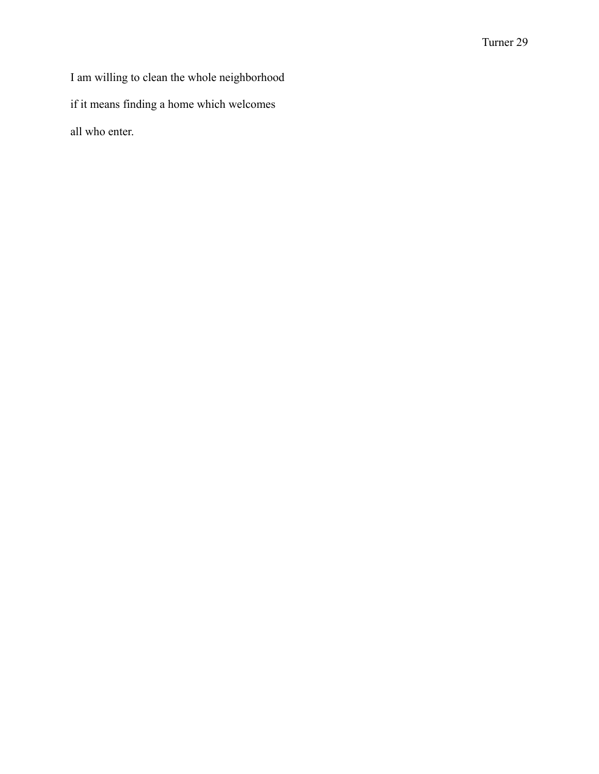I am willing to clean the whole neighborhood if it means finding a home which welcomes all who enter.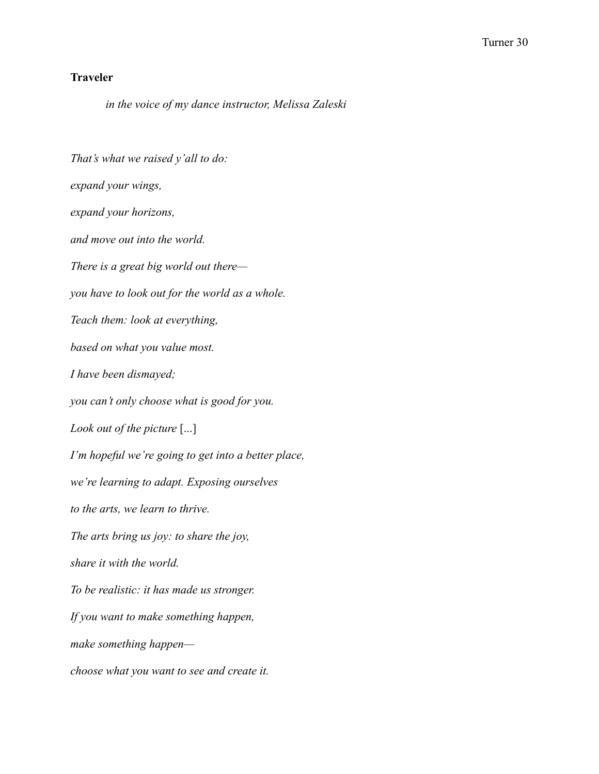# **Traveler**

*in the voice of my dance instructor, Melissa Zaleski*

*That's what we raised y'all to do: expand your wings, expand your horizons, and move out into the world. There is a great big world out there you have to look out for the world as a whole. Teach them: look at everything, based on what you value most. I have been dismayed; you can't only choose what is good for you. Look out of the picture* [...] *I'm hopeful we're going to get into a better place, we're learning to adapt. Exposing ourselves to the arts, we learn to thrive. The arts bring us joy: to share the joy, share it with the world. To be realistic: it has made us stronger. If you want to make something happen, make something happen choose what you want to see and create it.*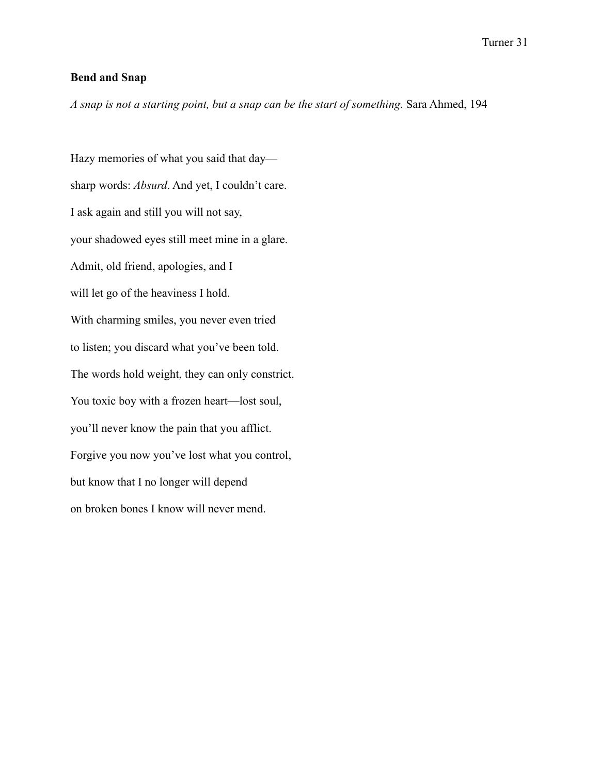## **Bend and Snap**

*A snap is not a starting point, but a snap can be the start of something.* Sara Ahmed, 194

Hazy memories of what you said that day sharp words: *Absurd*. And yet, I couldn't care. I ask again and still you will not say, your shadowed eyes still meet mine in a glare. Admit, old friend, apologies, and I will let go of the heaviness I hold. With charming smiles, you never even tried to listen; you discard what you've been told. The words hold weight, they can only constrict. You toxic boy with a frozen heart—lost soul, you'll never know the pain that you afflict. Forgive you now you've lost what you control, but know that I no longer will depend on broken bones I know will never mend.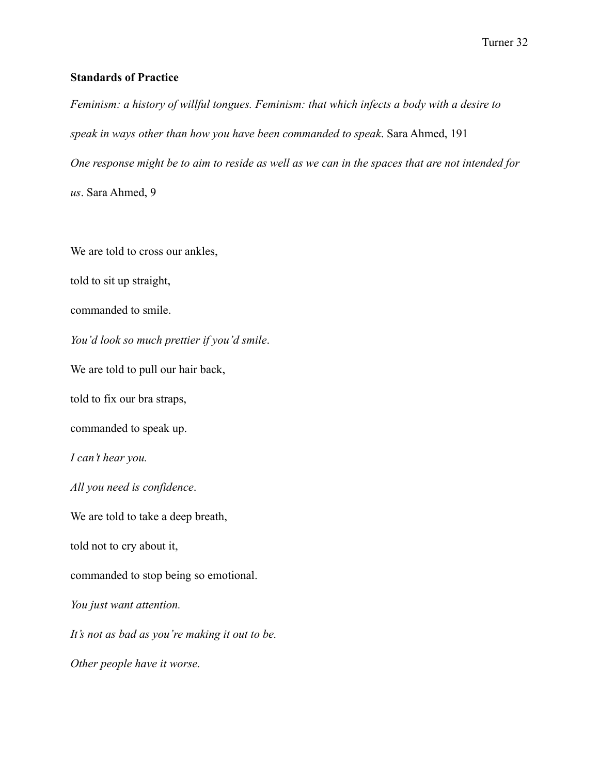# **Standards of Practice**

*Feminism: a history of willful tongues. Feminism: that which infects a body with a desire to speak in ways other than how you have been commanded to speak*. Sara Ahmed, 191 *One response might be to aim to reside as well as we can in the spaces that are not intended for us*. Sara Ahmed, 9

We are told to cross our ankles,

told to sit up straight,

commanded to smile.

*You'd look so much prettier if you'd smile*.

We are told to pull our hair back,

told to fix our bra straps,

commanded to speak up.

*I can't hear you.*

*All you need is confidence*.

We are told to take a deep breath,

told not to cry about it,

commanded to stop being so emotional.

*You just want attention.*

*It's not as bad as you're making it out to be.*

*Other people have it worse.*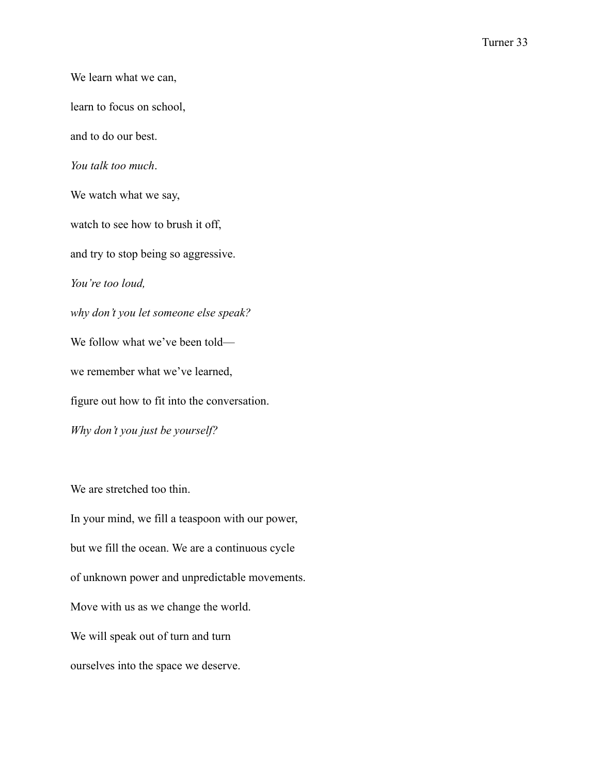We learn what we can, learn to focus on school, and to do our best. *You talk too much*. We watch what we say, watch to see how to brush it off, and try to stop being so aggressive. *You're too loud, why don't you let someone else speak?* We follow what we've been told we remember what we've learned, figure out how to fit into the conversation. *Why don't you just be yourself?*

We are stretched too thin.

In your mind, we fill a teaspoon with our power, but we fill the ocean. We are a continuous cycle of unknown power and unpredictable movements. Move with us as we change the world. We will speak out of turn and turn ourselves into the space we deserve.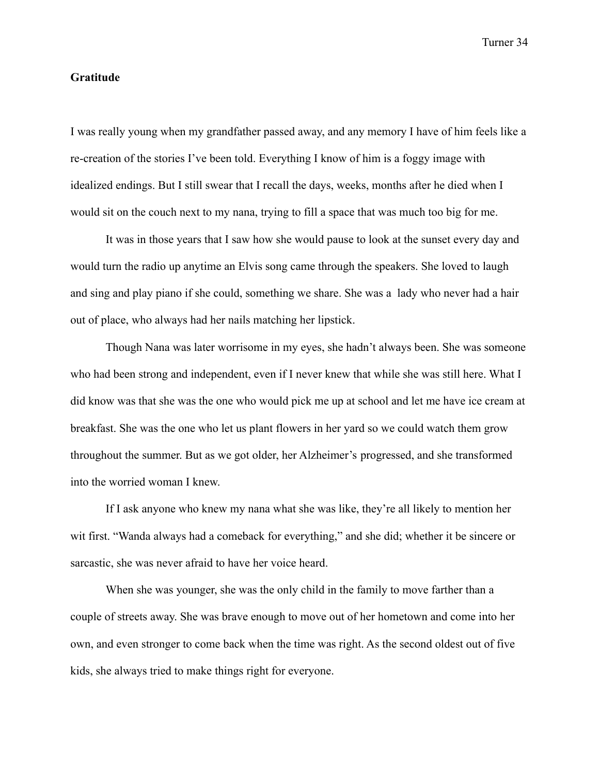## **Gratitude**

I was really young when my grandfather passed away, and any memory I have of him feels like a re-creation of the stories I've been told. Everything I know of him is a foggy image with idealized endings. But I still swear that I recall the days, weeks, months after he died when I would sit on the couch next to my nana, trying to fill a space that was much too big for me.

It was in those years that I saw how she would pause to look at the sunset every day and would turn the radio up anytime an Elvis song came through the speakers. She loved to laugh and sing and play piano if she could, something we share. She was a lady who never had a hair out of place, who always had her nails matching her lipstick.

Though Nana was later worrisome in my eyes, she hadn't always been. She was someone who had been strong and independent, even if I never knew that while she was still here. What I did know was that she was the one who would pick me up at school and let me have ice cream at breakfast. She was the one who let us plant flowers in her yard so we could watch them grow throughout the summer. But as we got older, her Alzheimer's progressed, and she transformed into the worried woman I knew.

If I ask anyone who knew my nana what she was like, they're all likely to mention her wit first. "Wanda always had a comeback for everything," and she did; whether it be sincere or sarcastic, she was never afraid to have her voice heard.

When she was younger, she was the only child in the family to move farther than a couple of streets away. She was brave enough to move out of her hometown and come into her own, and even stronger to come back when the time was right. As the second oldest out of five kids, she always tried to make things right for everyone.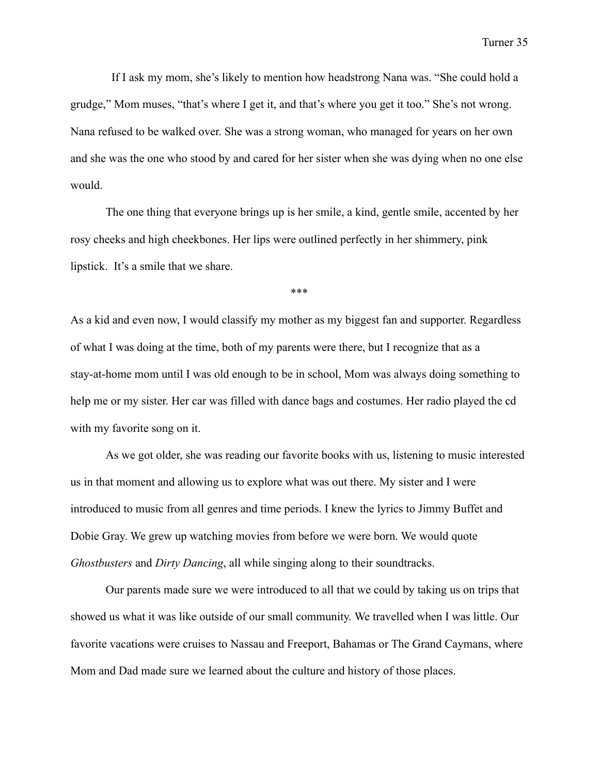If I ask my mom, she's likely to mention how headstrong Nana was. "She could hold a grudge," Mom muses, "that's where I get it, and that's where you get it too." She's not wrong. Nana refused to be walked over. She was a strong woman, who managed for years on her own and she was the one who stood by and cared for her sister when she was dying when no one else would.

The one thing that everyone brings up is her smile, a kind, gentle smile, accented by her rosy cheeks and high cheekbones. Her lips were outlined perfectly in her shimmery, pink lipstick. It's a smile that we share.

\*\*\*

As a kid and even now, I would classify my mother as my biggest fan and supporter. Regardless of what I was doing at the time, both of my parents were there, but I recognize that as a stay-at-home mom until I was old enough to be in school, Mom was always doing something to help me or my sister. Her car was filled with dance bags and costumes. Her radio played the cd with my favorite song on it.

As we got older, she was reading our favorite books with us, listening to music interested us in that moment and allowing us to explore what was out there. My sister and I were introduced to music from all genres and time periods. I knew the lyrics to Jimmy Buffet and Dobie Gray. We grew up watching movies from before we were born. We would quote *Ghostbusters* and *Dirty Dancing*, all while singing along to their soundtracks.

Our parents made sure we were introduced to all that we could by taking us on trips that showed us what it was like outside of our small community. We travelled when I was little. Our favorite vacations were cruises to Nassau and Freeport, Bahamas or The Grand Caymans, where Mom and Dad made sure we learned about the culture and history of those places.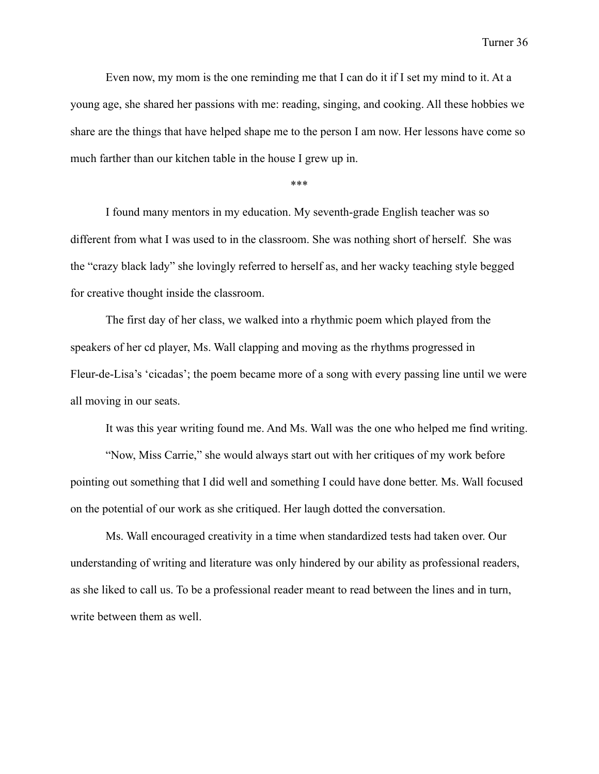Even now, my mom is the one reminding me that I can do it if I set my mind to it. At a young age, she shared her passions with me: reading, singing, and cooking. All these hobbies we share are the things that have helped shape me to the person I am now. Her lessons have come so much farther than our kitchen table in the house I grew up in.

\*\*\*

I found many mentors in my education. My seventh-grade English teacher was so different from what I was used to in the classroom. She was nothing short of herself. She was the "crazy black lady" she lovingly referred to herself as, and her wacky teaching style begged for creative thought inside the classroom.

The first day of her class, we walked into a rhythmic poem which played from the speakers of her cd player, Ms. Wall clapping and moving as the rhythms progressed in Fleur-de-Lisa's 'cicadas'; the poem became more of a song with every passing line until we were all moving in our seats.

It was this year writing found me. And Ms. Wall was the one who helped me find writing.

"Now, Miss Carrie," she would always start out with her critiques of my work before pointing out something that I did well and something I could have done better. Ms. Wall focused on the potential of our work as she critiqued. Her laugh dotted the conversation.

Ms. Wall encouraged creativity in a time when standardized tests had taken over. Our understanding of writing and literature was only hindered by our ability as professional readers, as she liked to call us. To be a professional reader meant to read between the lines and in turn, write between them as well.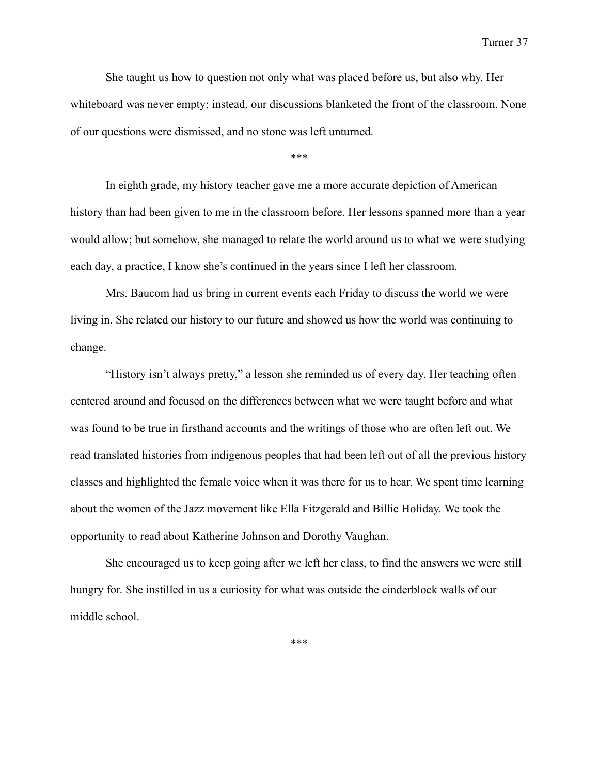She taught us how to question not only what was placed before us, but also why. Her whiteboard was never empty; instead, our discussions blanketed the front of the classroom. None of our questions were dismissed, and no stone was left unturned.

\*\*\*

In eighth grade, my history teacher gave me a more accurate depiction of American history than had been given to me in the classroom before. Her lessons spanned more than a year would allow; but somehow, she managed to relate the world around us to what we were studying each day, a practice, I know she's continued in the years since I left her classroom.

Mrs. Baucom had us bring in current events each Friday to discuss the world we were living in. She related our history to our future and showed us how the world was continuing to change.

"History isn't always pretty," a lesson she reminded us of every day. Her teaching often centered around and focused on the differences between what we were taught before and what was found to be true in firsthand accounts and the writings of those who are often left out. We read translated histories from indigenous peoples that had been left out of all the previous history classes and highlighted the female voice when it was there for us to hear. We spent time learning about the women of the Jazz movement like Ella Fitzgerald and Billie Holiday. We took the opportunity to read about Katherine Johnson and Dorothy Vaughan.

She encouraged us to keep going after we left her class, to find the answers we were still hungry for. She instilled in us a curiosity for what was outside the cinderblock walls of our middle school.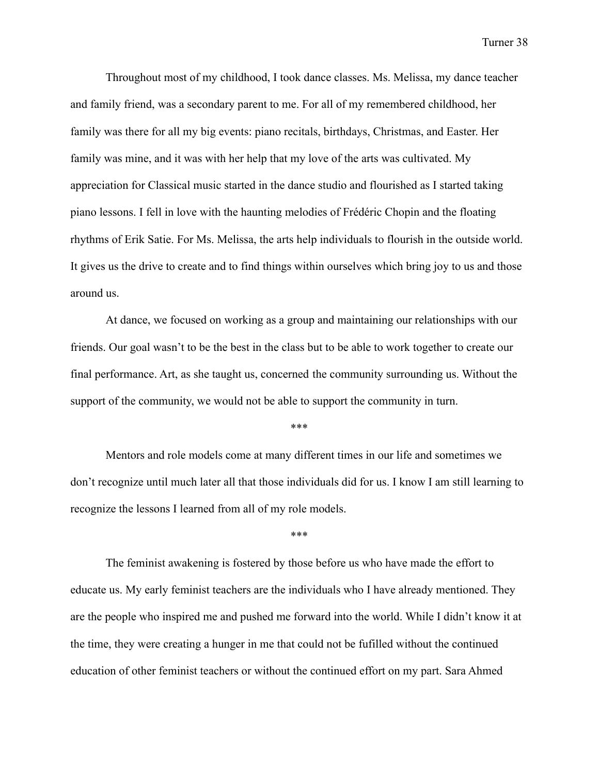Throughout most of my childhood, I took dance classes. Ms. Melissa, my dance teacher and family friend, was a secondary parent to me. For all of my remembered childhood, her family was there for all my big events: piano recitals, birthdays, Christmas, and Easter. Her family was mine, and it was with her help that my love of the arts was cultivated. My appreciation for Classical music started in the dance studio and flourished as I started taking piano lessons. I fell in love with the haunting melodies of Frédéric Chopin and the floating rhythms of Erik Satie. For Ms. Melissa, the arts help individuals to flourish in the outside world. It gives us the drive to create and to find things within ourselves which bring joy to us and those around us.

At dance, we focused on working as a group and maintaining our relationships with our friends. Our goal wasn't to be the best in the class but to be able to work together to create our final performance. Art, as she taught us, concerned the community surrounding us. Without the support of the community, we would not be able to support the community in turn.

\*\*\*

Mentors and role models come at many different times in our life and sometimes we don't recognize until much later all that those individuals did for us. I know I am still learning to recognize the lessons I learned from all of my role models.

\*\*\*

The feminist awakening is fostered by those before us who have made the effort to educate us. My early feminist teachers are the individuals who I have already mentioned. They are the people who inspired me and pushed me forward into the world. While I didn't know it at the time, they were creating a hunger in me that could not be fufilled without the continued education of other feminist teachers or without the continued effort on my part. Sara Ahmed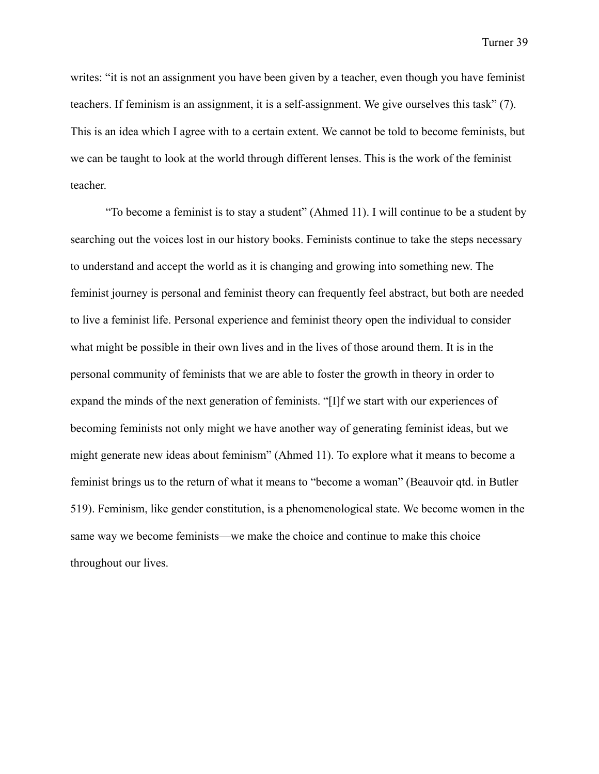writes: "it is not an assignment you have been given by a teacher, even though you have feminist teachers. If feminism is an assignment, it is a self-assignment. We give ourselves this task" (7). This is an idea which I agree with to a certain extent. We cannot be told to become feminists, but we can be taught to look at the world through different lenses. This is the work of the feminist teacher.

"To become a feminist is to stay a student" (Ahmed 11). I will continue to be a student by searching out the voices lost in our history books. Feminists continue to take the steps necessary to understand and accept the world as it is changing and growing into something new. The feminist journey is personal and feminist theory can frequently feel abstract, but both are needed to live a feminist life. Personal experience and feminist theory open the individual to consider what might be possible in their own lives and in the lives of those around them. It is in the personal community of feminists that we are able to foster the growth in theory in order to expand the minds of the next generation of feminists. "[I]f we start with our experiences of becoming feminists not only might we have another way of generating feminist ideas, but we might generate new ideas about feminism" (Ahmed 11). To explore what it means to become a feminist brings us to the return of what it means to "become a woman" (Beauvoir qtd. in Butler 519). Feminism, like gender constitution, is a phenomenological state. We become women in the same way we become feminists—we make the choice and continue to make this choice throughout our lives.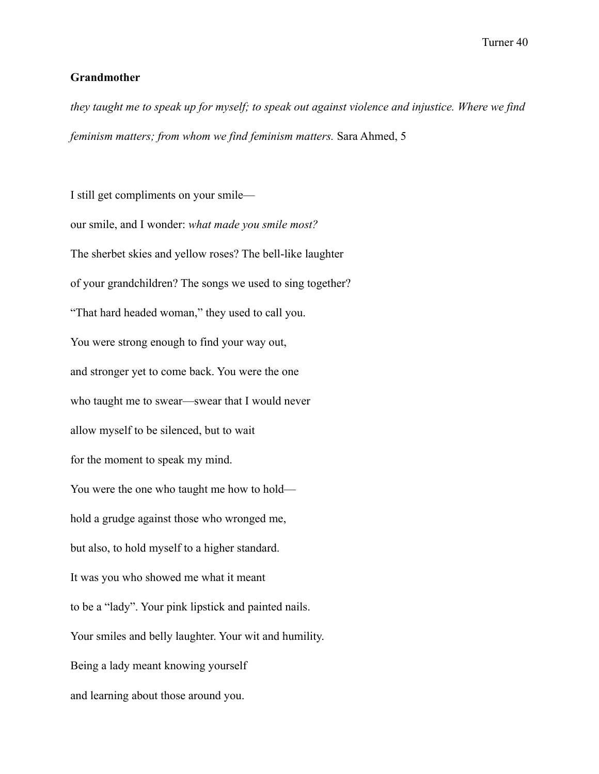# **Grandmother**

*they taught me to speak up for myself; to speak out against violence and injustice. Where we find feminism matters; from whom we find feminism matters.* Sara Ahmed, 5

I still get compliments on your smile our smile, and I wonder: *what made you smile most?* The sherbet skies and yellow roses? The bell-like laughter of your grandchildren? The songs we used to sing together? "That hard headed woman," they used to call you. You were strong enough to find your way out, and stronger yet to come back. You were the one who taught me to swear—swear that I would never allow myself to be silenced, but to wait for the moment to speak my mind. You were the one who taught me how to hold hold a grudge against those who wronged me, but also, to hold myself to a higher standard. It was you who showed me what it meant to be a "lady". Your pink lipstick and painted nails. Your smiles and belly laughter. Your wit and humility. Being a lady meant knowing yourself and learning about those around you.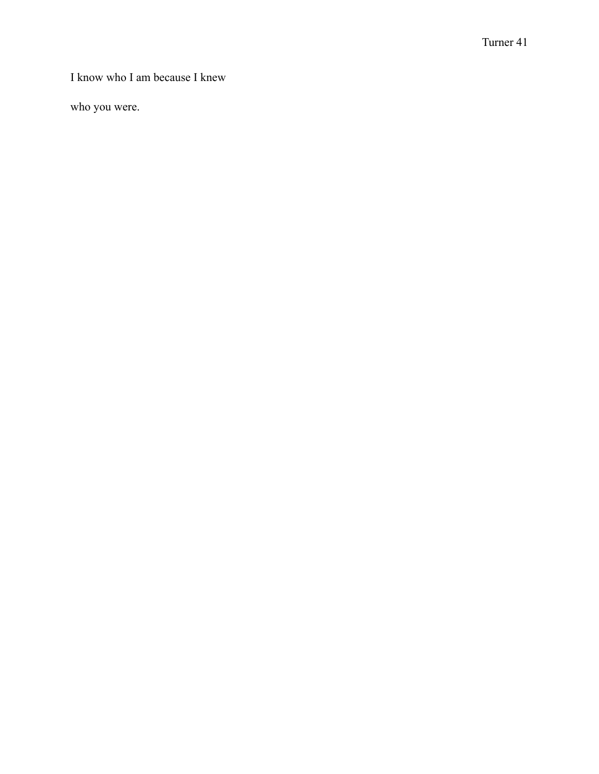I know who I am because I knew

who you were.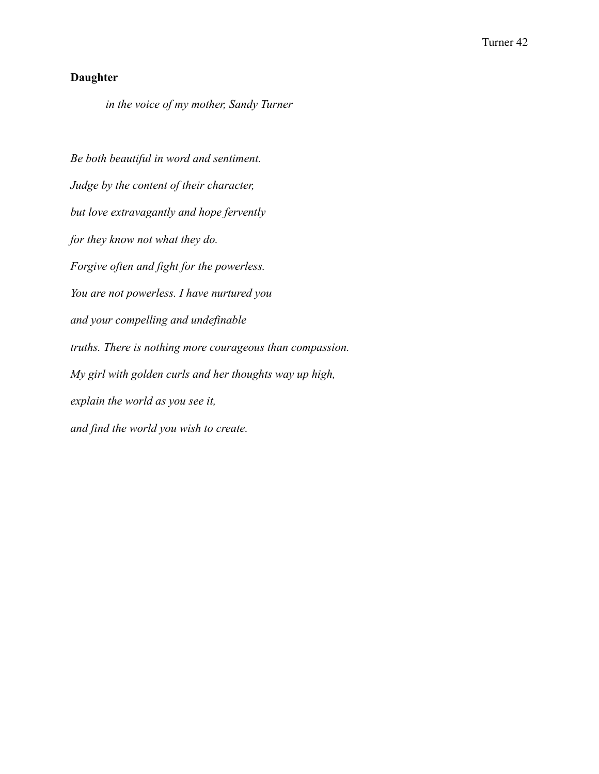# **Daughter**

*in the voice of my mother, Sandy Turner*

*Be both beautiful in word and sentiment. Judge by the content of their character, but love extravagantly and hope fervently for they know not what they do. Forgive often and fight for the powerless. You are not powerless. I have nurtured you and your compelling and undefinable truths. There is nothing more courageous than compassion. My girl with golden curls and her thoughts way up high, explain the world as you see it, and find the world you wish to create.*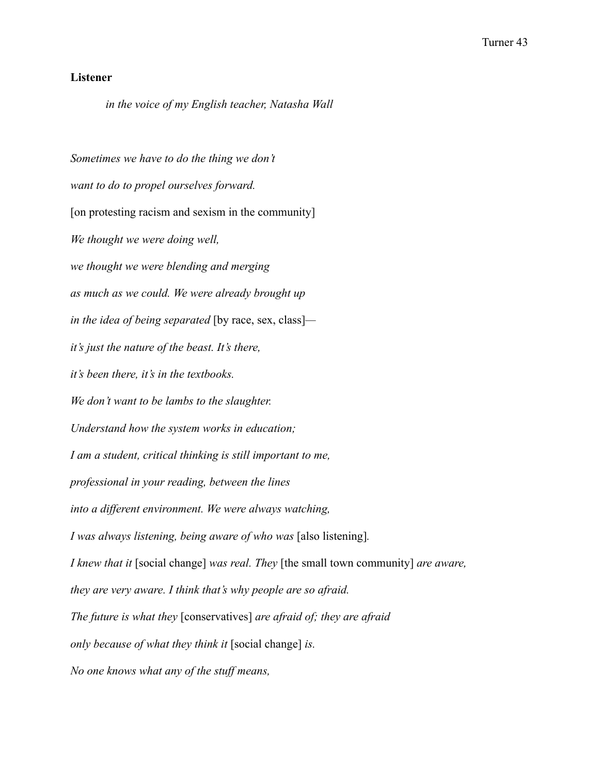# **Listener**

*in the voice of my English teacher, Natasha Wall*

*Sometimes we have to do the thing we don't want to do to propel ourselves forward.* [on protesting racism and sexism in the community] *We thought we were doing well, we thought we were blending and merging as much as we could. We were already brought up in the idea of being separated* [by race, sex, class] *it's just the nature of the beast. It's there, it's been there, it's in the textbooks. We don't want to be lambs to the slaughter. Understand how the system works in education; I am a student, critical thinking is still important to me, professional in your reading, between the lines into a different environment. We were always watching, I was always listening, being aware of who was* [also listening]*. I knew that it* [social change] *was real. They* [the small town community] *are aware, they are very aware. I think that's why people are so afraid. The future is what they* [conservatives] *are afraid of; they are afraid only because of what they think it* [social change] *is. No one knows what any of the stuff means,*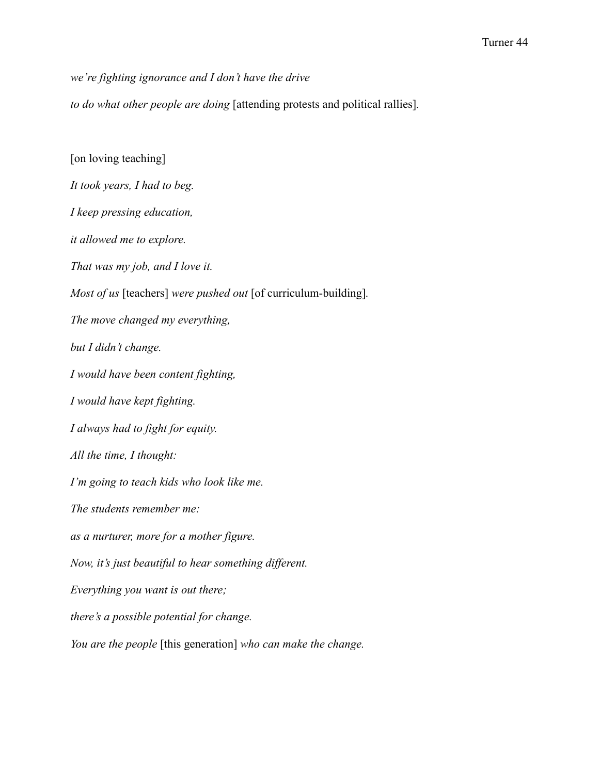*we're fighting ignorance and I don't have the drive*

*to do what other people are doing* [attending protests and political rallies]*.*

[on loving teaching] *It took years, I had to beg. I keep pressing education, it allowed me to explore. That was my job, and I love it. Most of us* [teachers] *were pushed out* [of curriculum-building]*. The move changed my everything, but I didn't change. I would have been content fighting, I would have kept fighting. I always had to fight for equity. All the time, I thought: I'm going to teach kids who look like me. The students remember me: as a nurturer, more for a mother figure. Now, it's just beautiful to hear something different. Everything you want is out there; there's a possible potential for change. You are the people* [this generation] *who can make the change.*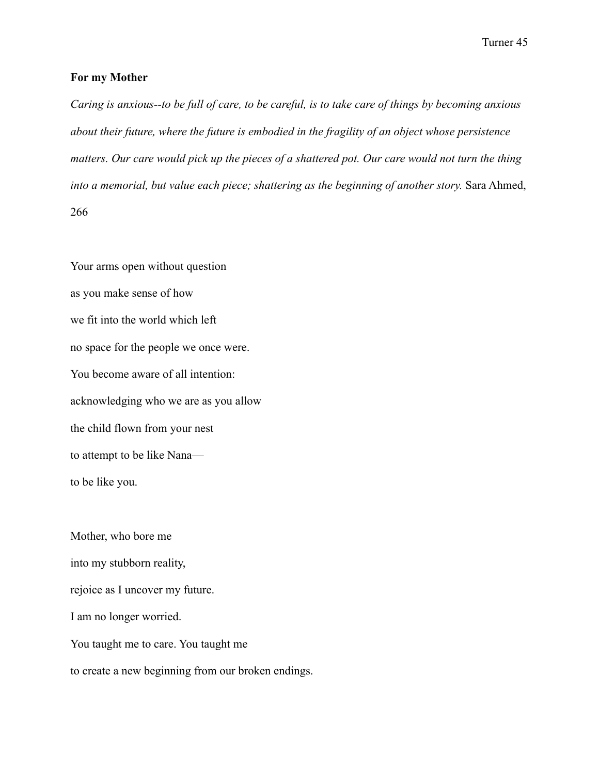#### **For my Mother**

*Caring is anxious--to be full of care, to be careful, is to take care of things by becoming anxious about their future, where the future is embodied in the fragility of an object whose persistence matters. Our care would pick up the pieces of a shattered pot. Our care would not turn the thing into a memorial, but value each piece; shattering as the beginning of another story.* Sara Ahmed, 266

Your arms open without question as you make sense of how we fit into the world which left no space for the people we once were. You become aware of all intention: acknowledging who we are as you allow the child flown from your nest to attempt to be like Nana to be like you.

Mother, who bore me into my stubborn reality, rejoice as I uncover my future. I am no longer worried. You taught me to care. You taught me to create a new beginning from our broken endings.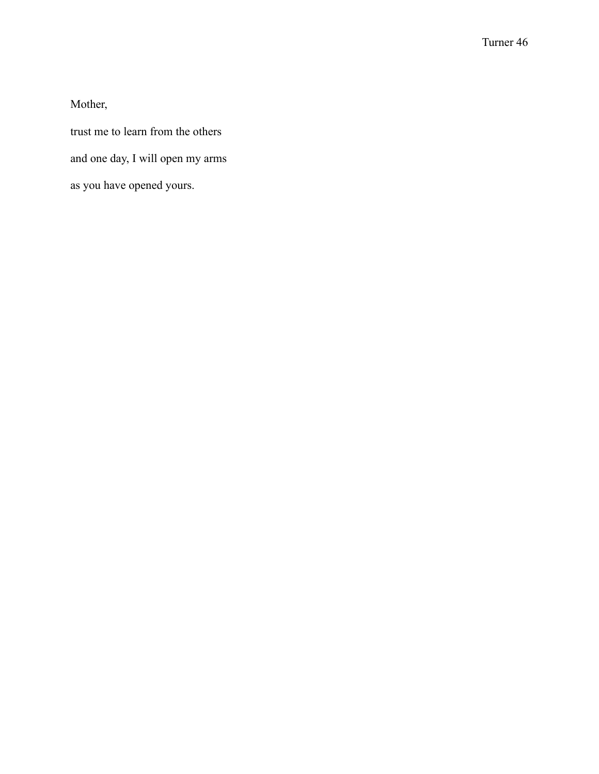Mother,

trust me to learn from the others and one day, I will open my arms as you have opened yours.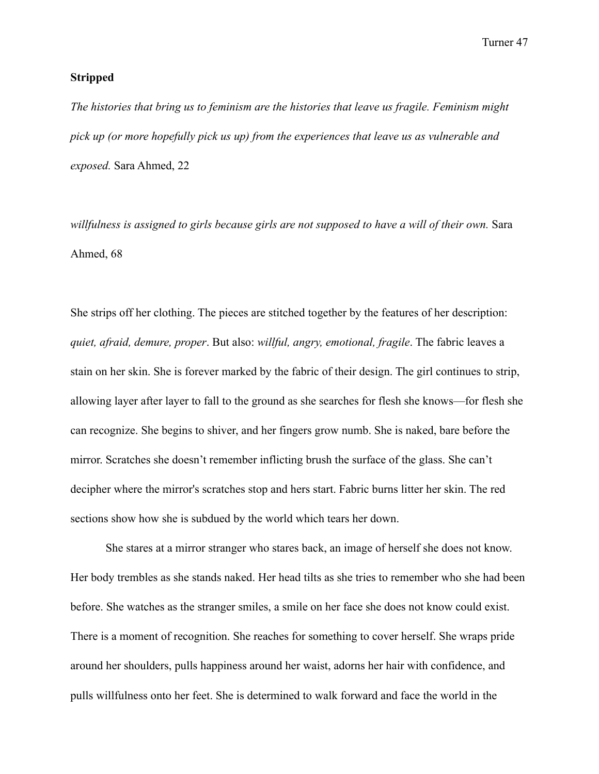#### **Stripped**

*The histories that bring us to feminism are the histories that leave us fragile. Feminism might pick up (or more hopefully pick us up) from the experiences that leave us as vulnerable and exposed.* Sara Ahmed, 22

*willfulness is assigned to girls because girls are not supposed to have a will of their own.* Sara Ahmed, 68

She strips off her clothing. The pieces are stitched together by the features of her description: *quiet, afraid, demure, proper*. But also: *willful, angry, emotional, fragile*. The fabric leaves a stain on her skin. She is forever marked by the fabric of their design. The girl continues to strip, allowing layer after layer to fall to the ground as she searches for flesh she knows—for flesh she can recognize. She begins to shiver, and her fingers grow numb. She is naked, bare before the mirror. Scratches she doesn't remember inflicting brush the surface of the glass. She can't decipher where the mirror's scratches stop and hers start. Fabric burns litter her skin. The red sections show how she is subdued by the world which tears her down.

She stares at a mirror stranger who stares back, an image of herself she does not know. Her body trembles as she stands naked. Her head tilts as she tries to remember who she had been before. She watches as the stranger smiles, a smile on her face she does not know could exist. There is a moment of recognition. She reaches for something to cover herself. She wraps pride around her shoulders, pulls happiness around her waist, adorns her hair with confidence, and pulls willfulness onto her feet. She is determined to walk forward and face the world in the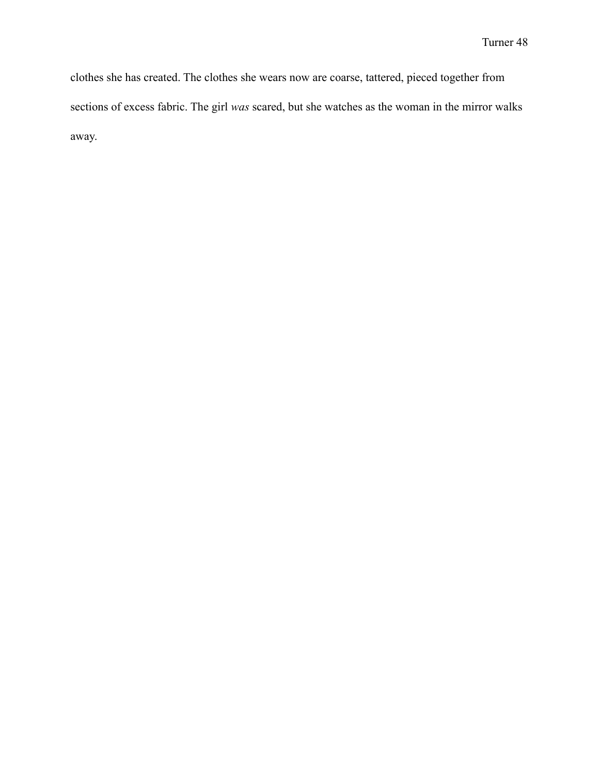clothes she has created. The clothes she wears now are coarse, tattered, pieced together from sections of excess fabric. The girl *was* scared, but she watches as the woman in the mirror walks away.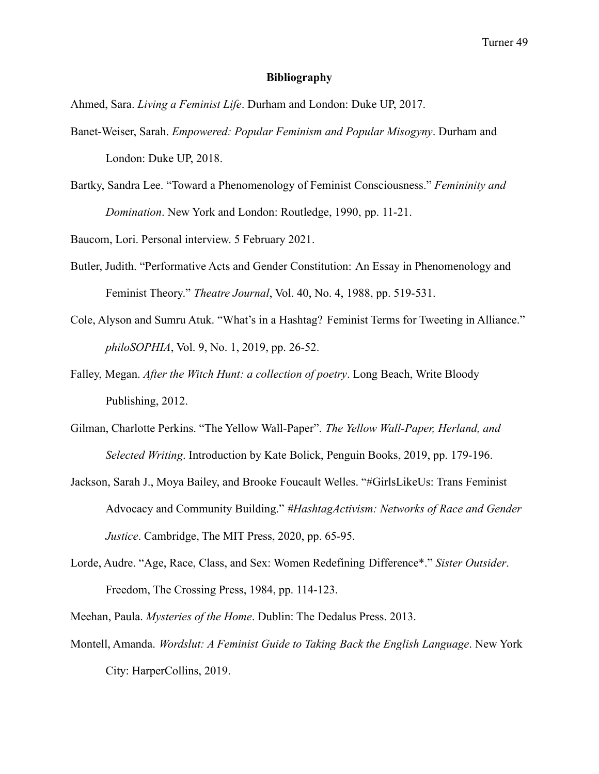#### **Bibliography**

Ahmed, Sara. *Living a Feminist Life*. Durham and London: Duke UP, 2017.

- Banet-Weiser, Sarah. *Empowered: Popular Feminism and Popular Misogyny*. Durham and London: Duke UP, 2018.
- Bartky, Sandra Lee. "Toward a Phenomenology of Feminist Consciousness." *Femininity and Domination*. New York and London: Routledge, 1990, pp. 11-21.

Baucom, Lori. Personal interview. 5 February 2021.

- Butler, Judith. "Performative Acts and Gender Constitution: An Essay in Phenomenology and Feminist Theory." *Theatre Journal*, Vol. 40, No. 4, 1988, pp. 519-531.
- Cole, Alyson and Sumru Atuk. "What's in a Hashtag? Feminist Terms for Tweeting in Alliance." *philoSOPHIA*, Vol. 9, No. 1, 2019, pp. 26-52.
- Falley, Megan. *After the Witch Hunt: a collection of poetry*. Long Beach, Write Bloody Publishing, 2012.
- Gilman, Charlotte Perkins. "The Yellow Wall-Paper". *The Yellow Wall-Paper, Herland, and Selected Writing*. Introduction by Kate Bolick, Penguin Books, 2019, pp. 179-196.
- Jackson, Sarah J., Moya Bailey, and Brooke Foucault Welles. "#GirlsLikeUs: Trans Feminist Advocacy and Community Building." *#HashtagActivism: Networks of Race and Gender Justice*. Cambridge, The MIT Press, 2020, pp. 65-95.
- Lorde, Audre. "Age, Race, Class, and Sex: Women Redefining Difference\*." *Sister Outsider*. Freedom, The Crossing Press, 1984, pp. 114-123.
- Meehan, Paula. *Mysteries of the Home*. Dublin: The Dedalus Press. 2013.
- Montell, Amanda. *Wordslut: A Feminist Guide to Taking Back the English Language*. New York City: HarperCollins, 2019.